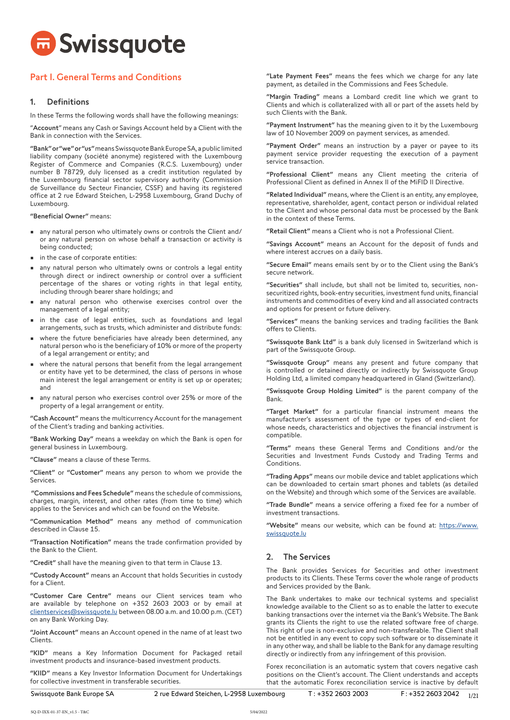

# Part I. General Terms and Conditions

## 1. Definitions

In these Terms the following words shall have the following meanings:

"Account" means any Cash or Savings Account held by a Client with the Bank in connection with the Services.

"Bank" or "we" or "us" means Swissquote Bank Europe SA, a public limited liability company (société anonyme) registered with the Luxembourg Register of Commerce and Companies (R.C.S. Luxembourg) under number B 78729, duly licensed as a credit institution regulated by the Luxembourg financial sector supervisory authority (Commission de Surveillance du Secteur Financier, CSSF) and having its registered office at 2 rue Edward Steichen, L-2958 Luxembourg, Grand Duchy of Luxembourg.

"Beneficial Owner" means:

- any natural person who ultimately owns or controls the Client and/ or any natural person on whose behalf a transaction or activity is being conducted;
- in the case of corporate entities:
- any natural person who ultimately owns or controls a legal entity through direct or indirect ownership or control over a sufficient percentage of the shares or voting rights in that legal entity, including through bearer share holdings; and
- any natural person who otherwise exercises control over the management of a legal entity;
- in the case of legal entities, such as foundations and legal arrangements, such as trusts, which administer and distribute funds:
- where the future beneficiaries have already been determined, any natural person who is the beneficiary of 10% or more of the property of a legal arrangement or entity; and
- where the natural persons that benefit from the legal arrangement or entity have yet to be determined, the class of persons in whose main interest the legal arrangement or entity is set up or operates; and
- any natural person who exercises control over 25% or more of the property of a legal arrangement or entity.

"Cash Account" means the multicurrency Account for the management of the Client's trading and banking activities.

"Bank Working Day" means a weekday on which the Bank is open for general business in Luxembourg.

"Clause" means a clause of these Terms.

"Client" or "Customer" means any person to whom we provide the Services.

 "Commissions and Fees Schedule" means the schedule of commissions, charges, margin, interest, and other rates (from time to time) which applies to the Services and which can be found on the Website.

"Communication Method" means any method of communication described in Clause 15.

"Transaction Notification" means the trade confirmation provided by the Bank to the Client.

"Credit" shall have the meaning given to that term in Clause 13.

"Custody Account" means an Account that holds Securities in custody for a Client.

"Customer Care Centre" means our Client services team who are available by telephone on +352 2603 2003 or by email at [clientservices@swissquote.lu](mailto:clientservices%40swissquote.lu?subject=) between 08.00 a.m. and 10.00 p.m. (CET) on any Bank Working Day.

"Joint Account" means an Account opened in the name of at least two Clients.

"KID" means a Key Information Document for Packaged retail investment products and insurance-based investment products.

"KIID" means a Key Investor Information Document for Undertakings for collective investment in transferable securities.

"Late Payment Fees" means the fees which we charge for any late payment, as detailed in the Commissions and Fees Schedule.

"Margin Trading" means a Lombard credit line which we grant to Clients and which is collateralized with all or part of the assets held by such Clients with the Bank.

"Payment Instrument" has the meaning given to it by the Luxembourg law of 10 November 2009 on payment services, as amended.

"Payment Order" means an instruction by a payer or payee to its payment service provider requesting the execution of a payment service transaction.

"Professional Client" means any Client meeting the criteria of Professional Client as defined in Annex II of the MiFID II Directive.

"Related Individual" means, where the Client is an entity, any employee, representative, shareholder, agent, contact person or individual related to the Client and whose personal data must be processed by the Bank in the context of these Terms.

"Retail Client" means a Client who is not a Professional Client.

"Savings Account" means an Account for the deposit of funds and where interest accrues on a daily basis.

"Secure Email" means emails sent by or to the Client using the Bank's secure network.

"Securities" shall include, but shall not be limited to, securities, nonsecuritized rights, book-entry securities, investment fund units, financial instruments and commodities of every kind and all associated contracts and options for present or future delivery.

"Services" means the banking services and trading facilities the Bank offers to Clients.

"Swissquote Bank Ltd" is a bank duly licensed in Switzerland which is part of the Swissquote Group.

"Swissquote Group" means any present and future company that is controlled or detained directly or indirectly by Swissquote Group Holding Ltd, a limited company headquartered in Gland (Switzerland).

"Swissquote Group Holding Limited" is the parent company of the Bank.

"Target Market" for a particular financial instrument means the manufacturer's assessment of the type or types of end-client for whose needs, characteristics and objectives the financial instrument is compatible.

"Terms" means these General Terms and Conditions and/or the Securities and Investment Funds Custody and Trading Terms and Conditions.

"Trading Apps" means our mobile device and tablet applications which can be downloaded to certain smart phones and tablets (as detailed on the Website) and through which some of the Services are available.

"Trade Bundle" means a service offering a fixed fee for a number of investment transactions.

"Website" means our website, which can be found at: [https://www.](https://www.swissquote.lu) [swissquote.l](https://www.swissquote.lu)u

# 2. The Services

The Bank provides Services for Securities and other investment products to its Clients. These Terms cover the whole range of products and Services provided by the Bank.

The Bank undertakes to make our technical systems and specialist knowledge available to the Client so as to enable the latter to execute banking transactions over the internet via the Bank's Website. The Bank grants its Clients the right to use the related software free of charge. This right of use is non-exclusive and non-transferable. The Client shall not be entitled in any event to copy such software or to disseminate it in any other way, and shall be liable to the Bank for any damage resulting directly or indirectly from any infringement of this provision.

Forex reconciliation is an automatic system that covers negative cash positions on the Client's account. The Client understands and accepts that the automatic Forex reconciliation service is inactive by default

Swissquote Bank Europe SA 2rue Edward Steichen, L-2958 Luxembourg T: +352 2603 2003 F: +352 2603 2042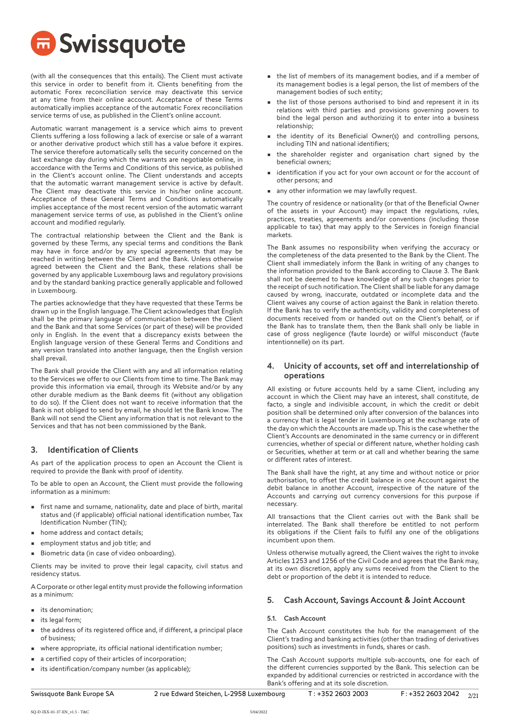

(with all the consequences that this entails). The Client must activate this service in order to benefit from it. Clients benefiting from the automatic Forex reconciliation service may deactivate this service at any time from their online account. Acceptance of these Terms automatically implies acceptance of the automatic Forex reconciliation service terms of use, as published in the Client's online account.

Automatic warrant management is a service which aims to prevent Clients suffering a loss following a lack of exercise or sale of a warrant or another derivative product which still has a value before it expires. The service therefore automatically sells the security concerned on the last exchange day during which the warrants are negotiable online, in accordance with the Terms and Conditions of this service, as published in the Client's account online. The Client understands and accepts that the automatic warrant management service is active by default. The Client may deactivate this service in his/her online account. Acceptance of these General Terms and Conditions automatically implies acceptance of the most recent version of the automatic warrant management service terms of use, as published in the Client's online account and modified regularly.

The contractual relationship between the Client and the Bank is governed by these Terms, any special terms and conditions the Bank may have in force and/or by any special agreements that may be reached in writing between the Client and the Bank. Unless otherwise agreed between the Client and the Bank, these relations shall be governed by any applicable Luxembourg laws and regulatory provisions and by the standard banking practice generally applicable and followed in Luxembourg.

The parties acknowledge that they have requested that these Terms be drawn up in the English language. The Client acknowledges that English shall be the primary language of communication between the Client and the Bank and that some Services (or part of these) will be provided only in English. In the event that a discrepancy exists between the English language version of these General Terms and Conditions and any version translated into another language, then the English version shall prevail.

The Bank shall provide the Client with any and all information relating to the Services we offer to our Clients from time to time. The Bank may provide this information via email, through its Website and/or by any other durable medium as the Bank deems fit (without any obligation to do so). If the Client does not want to receive information that the Bank is not obliged to send by email, he should let the Bank know. The Bank will not send the Client any information that is not relevant to the Services and that has not been commissioned by the Bank.

## 3. Identification of Clients

As part of the application process to open an Account the Client is required to provide the Bank with proof of identity.

To be able to open an Account, the Client must provide the following information as a minimum:

- first name and surname, nationality, date and place of birth, marital status and (if applicable) official national identification number, Tax Identification Number (TIN);
- home address and contact details;
- employment status and job title; and
- Biometric data (in case of video onboarding).

Clients may be invited to prove their legal capacity, civil status and residency status.

A Corporate or other legal entity must provide the following information as a minimum:

- its denomination;
- its legal form;
- the address of its registered office and, if different, a principal place of business;
- where appropriate, its official national identification number;
- a certified copy of their articles of incorporation;
- its identification/company number (as applicable);
- the list of members of its management bodies, and if a member of its management bodies is a legal person, the list of members of the management bodies of such entity;
- the list of those persons authorised to bind and represent it in its relations with third parties and provisions governing powers to bind the legal person and authorizing it to enter into a business relationship;
- the identity of its Beneficial Owner(s) and controlling persons, including TIN and national identifiers;
- the shareholder register and organisation chart signed by the beneficial owners;
- identification if you act for your own account or for the account of other persons; and
- any other information we may lawfully request.

The country of residence or nationality (or that of the Beneficial Owner of the assets in your Account) may impact the regulations, rules, practices, treaties, agreements and/or conventions (including those applicable to tax) that may apply to the Services in foreign financial markets.

The Bank assumes no responsibility when verifying the accuracy or the completeness of the data presented to the Bank by the Client. The Client shall immediately inform the Bank in writing of any changes to the information provided to the Bank according to Clause 3. The Bank shall not be deemed to have knowledge of any such changes prior to the receipt of such notification. The Client shall be liable for any damage caused by wrong, inaccurate, outdated or incomplete data and the Client waives any course of action against the Bank in relation thereto. If the Bank has to verify the authenticity, validity and completeness of documents received from or handed out on the Client's behalf, or if the Bank has to translate them, then the Bank shall only be liable in case of gross negligence (faute lourde) or wilful misconduct (faute intentionnelle) on its part.

## 4. Unicity of accounts, set off and interrelationship of operations

All existing or future accounts held by a same Client, including any account in which the Client may have an interest, shall constitute, de facto, a single and indivisible account, in which the credit or debit position shall be determined only after conversion of the balances into a currency that is legal tender in Luxembourg at the exchange rate of the day on which the Accounts are made up. This is the case whether the Client's Accounts are denominated in the same currency or in different currencies, whether of special or different nature, whether holding cash or Securities, whether at term or at call and whether bearing the same or different rates of interest.

The Bank shall have the right, at any time and without notice or prior authorisation, to offset the credit balance in one Account against the debit balance in another Account, irrespective of the nature of the Accounts and carrying out currency conversions for this purpose if necessary.

All transactions that the Client carries out with the Bank shall be interrelated. The Bank shall therefore be entitled to not perform its obligations if the Client fails to fulfil any one of the obligations incumbent upon them.

Unless otherwise mutually agreed, the Client waives the right to invoke Articles 1253 and 1256 of the Civil Code and agrees that the Bank may, at its own discretion, apply any sums received from the Client to the debt or proportion of the debt it is intended to reduce.

## 5. Cash Account, Savings Account & Joint Account

## 5.1. Cash Account

The Cash Account constitutes the hub for the management of the Client's trading and banking activities (other than trading of derivatives positions) such as investments in funds, shares or cash.

The Cash Account supports multiple sub-accounts, one for each of the different currencies supported by the Bank. This selection can be expanded by additional currencies or restricted in accordance with the Bank's offering and at its sole discretion.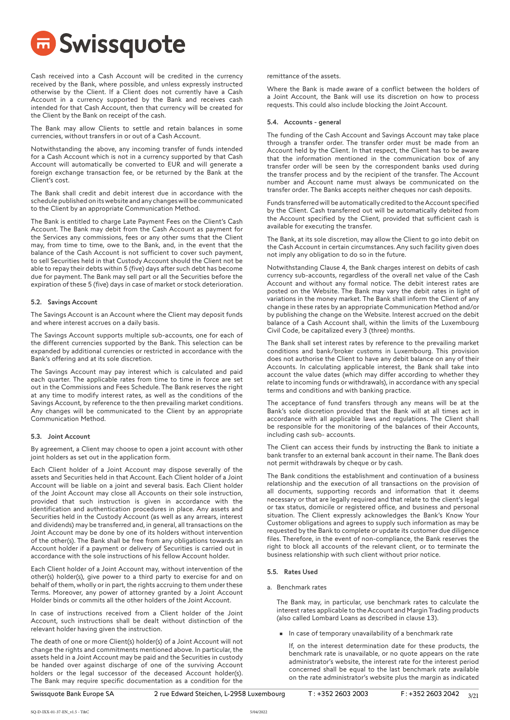

Cash received into a Cash Account will be credited in the currency received by the Bank, where possible, and unless expressly instructed otherwise by the Client. If a Client does not currently have a Cash Account in a currency supported by the Bank and receives cash intended for that Cash Account, then that currency will be created for the Client by the Bank on receipt of the cash.

The Bank may allow Clients to settle and retain balances in some currencies, without transfers in or out of a Cash Account.

Notwithstanding the above, any incoming transfer of funds intended for a Cash Account which is not in a currency supported by that Cash Account will automatically be converted to EUR and will generate a foreign exchange transaction fee, or be returned by the Bank at the Client's cost.

The Bank shall credit and debit interest due in accordance with the schedule published on its website and any changes will be communicated to the Client by an appropriate Communication Method.

The Bank is entitled to charge Late Payment Fees on the Client's Cash Account. The Bank may debit from the Cash Account as payment for the Services any commissions, fees or any other sums that the Client may, from time to time, owe to the Bank, and, in the event that the balance of the Cash Account is not sufficient to cover such payment, to sell Securities held in that Custody Account should the Client not be able to repay their debts within 5 (five) days after such debt has become due for payment. The Bank may sell part or all the Securities before the expiration of these 5 (five) days in case of market or stock deterioration.

## 5.2. Savings Account

The Savings Account is an Account where the Client may deposit funds and where interest accrues on a daily basis.

The Savings Account supports multiple sub-accounts, one for each of the different currencies supported by the Bank. This selection can be expanded by additional currencies or restricted in accordance with the Bank's offering and at its sole discretion.

The Savings Account may pay interest which is calculated and paid each quarter. The applicable rates from time to time in force are set out in the Commissions and Fees Schedule. The Bank reserves the right at any time to modify interest rates, as well as the conditions of the Savings Account, by reference to the then prevailing market conditions. Any changes will be communicated to the Client by an appropriate Communication Method.

## 5.3. Joint Account

By agreement, a Client may choose to open a joint account with other joint holders as set out in the application form.

Each Client holder of a Joint Account may dispose severally of the assets and Securities held in that Account. Each Client holder of a Joint Account will be liable on a joint and several basis. Each Client holder of the Joint Account may close all Accounts on their sole instruction, provided that such instruction is given in accordance with the identification and authentication procedures in place. Any assets and Securities held in the Custody Account (as well as any arrears, interest and dividends) may be transferred and, in general, all transactions on the Joint Account may be done by one of its holders without intervention of the other(s). The Bank shall be free from any obligations towards an Account holder if a payment or delivery of Securities is carried out in accordance with the sole instructions of his fellow Account holder.

Each Client holder of a Joint Account may, without intervention of the other(s) holder(s), give power to a third party to exercise for and on behalf of them, wholly or in part, the rights accruing to them under these Terms. Moreover, any power of attorney granted by a Joint Account Holder binds or commits all the other holders of the Joint Account.

In case of instructions received from a Client holder of the Joint Account, such instructions shall be dealt without distinction of the relevant holder having given the instruction.

The death of one or more Client(s) holder(s) of a Joint Account will not change the rights and commitments mentioned above. In particular, the assets held in a Joint Account may be paid and the Securities in custody be handed over against discharge of one of the surviving Account holders or the legal successor of the deceased Account holder(s). The Bank may require specific documentation as a condition for the

remittance of the assets.

Where the Bank is made aware of a conflict between the holders of a Joint Account, the Bank will use its discretion on how to process requests. This could also include blocking the Joint Account.

## 5.4. Accounts - general

The funding of the Cash Account and Savings Account may take place through a transfer order. The transfer order must be made from an Account held by the Client. In that respect, the Client has to be aware that the information mentioned in the communication box of any transfer order will be seen by the correspondent banks used during the transfer process and by the recipient of the transfer. The Account number and Account name must always be communicated on the transfer order. The Banks accepts neither cheques nor cash deposits.

Funds transferred will be automatically credited to the Account specified by the Client. Cash transferred out will be automatically debited from the Account specified by the Client, provided that sufficient cash is available for executing the transfer.

The Bank, at its sole discretion, may allow the Client to go into debit on the Cash Account in certain circumstances. Any such facility given does not imply any obligation to do so in the future.

Notwithstanding Clause 4, the Bank charges interest on debits of cash currency sub-accounts, regardless of the overall net value of the Cash Account and without any formal notice. The debit interest rates are posted on the Website. The Bank may vary the debit rates in light of variations in the money market. The Bank shall inform the Client of any change in these rates by an appropriate Communication Method and/or by publishing the change on the Website. Interest accrued on the debit balance of a Cash Account shall, within the limits of the Luxembourg Civil Code, be capitalized every 3 (three) months.

The Bank shall set interest rates by reference to the prevailing market conditions and bank/broker customs in Luxembourg. This provision does not authorise the Client to have any debit balance on any of their Accounts. In calculating applicable interest, the Bank shall take into account the value dates (which may differ according to whether they relate to incoming funds or withdrawals), in accordance with any special terms and conditions and with banking practice.

The acceptance of fund transfers through any means will be at the Bank's sole discretion provided that the Bank will at all times act in accordance with all applicable laws and regulations. The Client shall be responsible for the monitoring of the balances of their Accounts, including cash sub- accounts.

The Client can access their funds by instructing the Bank to initiate a bank transfer to an external bank account in their name. The Bank does not permit withdrawals by cheque or by cash.

The Bank conditions the establishment and continuation of a business relationship and the execution of all transactions on the provision of all documents, supporting records and information that it deems necessary or that are legally required and that relate to the client's legal or tax status, domicile or registered office, and business and personal situation. The Client expressly acknowledges the Bank's Know Your Customer obligations and agrees to supply such information as may be requested by the Bank to complete or update its customer due diligence files. Therefore, in the event of non-compliance, the Bank reserves the right to block all accounts of the relevant client, or to terminate the business relationship with such client without prior notice.

## 5.5. Rates Used

## a. Benchmark rates

The Bank may, in particular, use benchmark rates to calculate the interest rates applicable to the Account and Margin Trading products (also called Lombard Loans as described in clause 13).

• In case of temporary unavailability of a benchmark rate

If, on the interest determination date for these products, the benchmark rate is unavailable, or no quote appears on the rate administrator's website, the interest rate for the interest period concerned shall be equal to the last benchmark rate available on the rate administrator's website plus the margin as indicated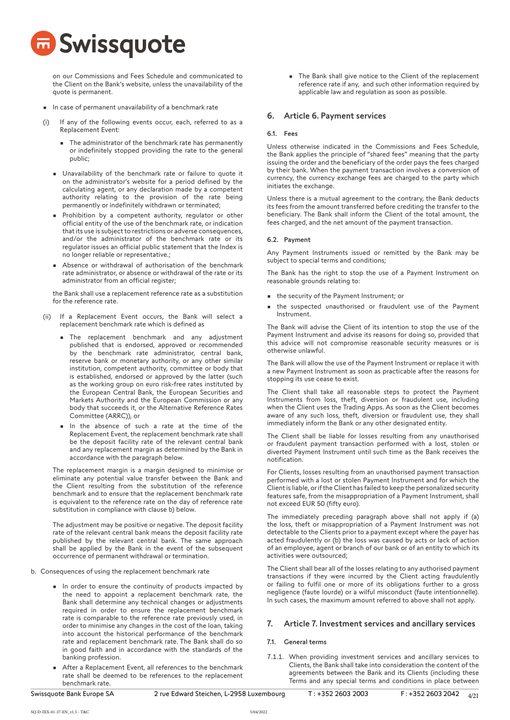

on our Commissions and Fees Schedule and communicated to the Client on the Bank's website, unless the unavailability of the quote is permanent.

- In case of permanent unavailability of a benchmark rate
- If any of the following events occur, each, referred to as a Replacement Event:
	- The administrator of the benchmark rate has permanently or indefinitely stopped providing the rate to the general public;
	- Unavailability of the benchmark rate or failure to quote it on the administrator's website for a period defined by the calculating agent, or any declaration made by a competent authority relating to the provision of the rate being permanently or indefinitely withdrawn or terminated;
	- Prohibition by a competent authority, regulator or other official entity of the use of the benchmark rate, or indication that its use is subject to restrictions or adverse consequences, and/or the administrator of the benchmark rate or its regulator issues an official public statement that the Index is no longer reliable or representative.;
	- Absence or withdrawal of authorisation of the benchmark rate administrator, or absence or withdrawal of the rate or its administrator from an official register;

the Bank shall use a replacement reference rate as a substitution for the reference rate.

- (ii) If a Replacement Event occurs, the Bank will select a replacement benchmark rate which is defined as
	- The replacement benchmark and any adjustment published that is endorsed, approved or recommended by the benchmark rate administrator, central bank, reserve bank or monetary authority, or any other similar institution, competent authority, committee or body that is established, endorsed or approved by the latter (such as the working group on euro risk-free rates instituted by the European Central Bank, the European Securities and Markets Authority and the European Commission or any body that succeeds it, or the Alternative Reference Rates Committee (ARRC)), or
	- In the absence of such a rate at the time of the Replacement Event, the replacement benchmark rate shall be the deposit facility rate of the relevant central bank and any replacement margin as determined by the Bank in accordance with the paragraph below.

The replacement margin is a margin designed to minimise or eliminate any potential value transfer between the Bank and the Client resulting from the substitution of the reference benchmark and to ensure that the replacement benchmark rate is equivalent to the reference rate on the day of reference rate substitution in compliance with clause b) below.

The adjustment may be positive or negative. The deposit facility rate of the relevant central bank means the deposit facility rate published by the relevant central bank. The same approach shall be applied by the Bank in the event of the subsequent occurrence of permanent withdrawal or termination.

- b. Consequences of using the replacement benchmark rate
	- In order to ensure the continuity of products impacted by the need to appoint a replacement benchmark rate, the Bank shall determine any technical changes or adjustments required in order to ensure the replacement benchmark rate is comparable to the reference rate previously used, in order to minimise any changes in the cost of the loan, taking into account the historical performance of the benchmark rate and replacement benchmark rate. The Bank shall do so in good faith and in accordance with the standards of the banking profession.
	- After a Replacement Event, all references to the benchmark rate shall be deemed to be references to the replacement benchmark rate.

• The Bank shall give notice to the Client of the replacement reference rate if any, and such other information required by applicable law and regulation as soon as possible.

## 6. Article 6. Payment services

## 6.1. Fees

Unless otherwise indicated in the Commissions and Fees Schedule, the Bank applies the principle of "shared fees" meaning that the party issuing the order and the beneficiary of the order pays the fees charged by their bank. When the payment transaction involves a conversion of currency, the currency exchange fees are charged to the party which initiates the exchange.

Unless there is a mutual agreement to the contrary, the Bank deducts its fees from the amount transferred before crediting the transfer to the beneficiary. The Bank shall inform the Client of the total amount, the fees charged, and the net amount of the payment transaction.

#### 6.2. Payment

Any Payment Instruments issued or remitted by the Bank may be subject to special terms and conditions;

The Bank has the right to stop the use of a Payment Instrument on reasonable grounds relating to:

- the security of the Payment Instrument; or
- the suspected unauthorised or fraudulent use of the Payment Instrument.

The Bank will advise the Client of its intention to stop the use of the Payment Instrument and advise its reasons for doing so, provided that this advice will not compromise reasonable security measures or is otherwise unlawful.

The Bank will allow the use of the Payment Instrument or replace it with a new Payment Instrument as soon as practicable after the reasons for stopping its use cease to exist.

The Client shall take all reasonable steps to protect the Payment Instruments from loss, theft, diversion or fraudulent use, including when the Client uses the Trading Apps. As soon as the Client becomes aware of any such loss, theft, diversion or fraudulent use, they shall immediately inform the Bank or any other designated entity.

The Client shall be liable for losses resulting from any unauthorised or fraudulent payment transaction performed with a lost, stolen or diverted Payment Instrument until such time as the Bank receives the notification.

For Clients, losses resulting from an unauthorised payment transaction performed with a lost or stolen Payment Instrument and for which the Client is liable, or if the Client has failed to keep the personalized security features safe, from the misappropriation of a Payment Instrument, shall not exceed EUR 50 (fifty euro).

The immediately preceding paragraph above shall not apply if (a) the loss, theft or misappropriation of a Payment Instrument was not detectable to the Clients prior to a payment except where the payer has acted fraudulently or (b) the loss was caused by acts or lack of action of an employee, agent or branch of our bank or of an entity to which its activities were outsourced;

The Client shall bear all of the losses relating to any authorised payment transactions if they were incurred by the Client acting fraudulently or failing to fulfil one or more of its obligations further to a gross negligence (faute lourde) or a wilful misconduct (faute intentionnelle). In such cases, the maximum amount referred to above shall not apply.

## 7. Article 7. Investment services and ancillary services

## 7.1. General terms

7.1.1. When providing investment services and ancillary services to Clients, the Bank shall take into consideration the content of the agreements between the Bank and its Clients (including these Terms and any special terms and conditions in place between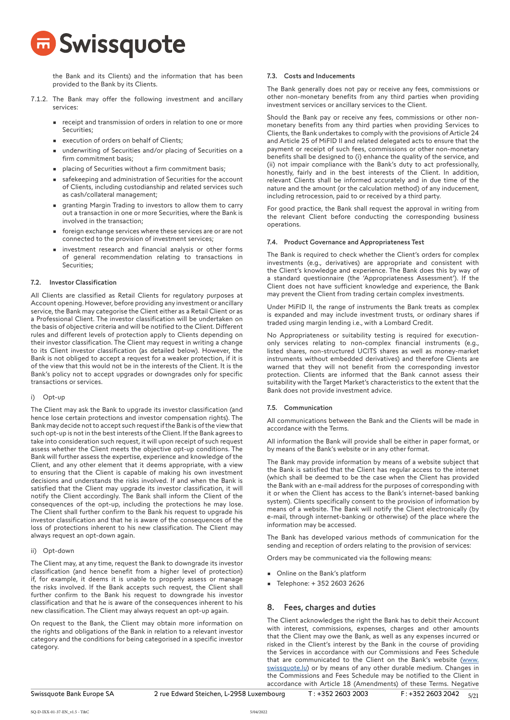

the Bank and its Clients) and the information that has been provided to the Bank by its Clients.

- 7.1.2. The Bank may offer the following investment and ancillary services:
	- receipt and transmission of orders in relation to one or more Securities;
	- execution of orders on behalf of Clients;
	- underwriting of Securities and/or placing of Securities on a firm commitment basis;
	- placing of Securities without a firm commitment basis;
	- safekeeping and administration of Securities for the account of Clients, including custodianship and related services such as cash/collateral management;
	- granting Margin Trading to investors to allow them to carry out a transaction in one or more Securities, where the Bank is involved in the transaction;
	- foreign exchange services where these services are or are not connected to the provision of investment services;
	- investment research and financial analysis or other forms of general recommendation relating to transactions in Securities;

## 7.2. Investor Classification

All Clients are classified as Retail Clients for regulatory purposes at Account opening. However, before providing any investment or ancillary service, the Bank may categorise the Client either as a Retail Client or as a Professional Client. The investor classification will be undertaken on the basis of objective criteria and will be notified to the Client. Different rules and different levels of protection apply to Clients depending on their investor classification. The Client may request in writing a change to its Client investor classification (as detailed below). However, the Bank is not obliged to accept a request for a weaker protection, if it is of the view that this would not be in the interests of the Client. It is the Bank's policy not to accept upgrades or downgrades only for specific transactions or services.

## i) Opt-up

The Client may ask the Bank to upgrade its investor classification (and hence lose certain protections and investor compensation rights). The Bank may decide not to accept such request if the Bank is of the view that such opt-up is not in the best interests of the Client. If the Bank agrees to take into consideration such request, it will upon receipt of such request assess whether the Client meets the objective opt-up conditions. The Bank will further assess the expertise, experience and knowledge of the Client, and any other element that it deems appropriate, with a view to ensuring that the Client is capable of making his own investment decisions and understands the risks involved. If and when the Bank is satisfied that the Client may upgrade its investor classification, it will notify the Client accordingly. The Bank shall inform the Client of the consequences of the opt-up, including the protections he may lose. The Client shall further confirm to the Bank his request to upgrade his investor classification and that he is aware of the consequences of the loss of protections inherent to his new classification. The Client may always request an opt-down again.

## ii) Opt-down

The Client may, at any time, request the Bank to downgrade its investor classification (and hence benefit from a higher level of protection) if, for example, it deems it is unable to properly assess or manage the risks involved. If the Bank accepts such request, the Client shall further confirm to the Bank his request to downgrade his investor classification and that he is aware of the consequences inherent to his new classification. The Client may always request an opt-up again.

On request to the Bank, the Client may obtain more information on the rights and obligations of the Bank in relation to a relevant investor category and the conditions for being categorised in a specific investor category.

## 7.3. Costs and Inducements

The Bank generally does not pay or receive any fees, commissions or other non-monetary benefits from any third parties when providing investment services or ancillary services to the Client.

Should the Bank pay or receive any fees, commissions or other nonmonetary benefits from any third parties when providing Services to Clients, the Bank undertakes to comply with the provisions of Article 24 and Article 25 of MiFID II and related delegated acts to ensure that the payment or receipt of such fees, commissions or other non-monetary benefits shall be designed to (i) enhance the quality of the service, and (ii) not impair compliance with the Bank's duty to act professionally, honestly, fairly and in the best interests of the Client. In addition, relevant Clients shall be informed accurately and in due time of the nature and the amount (or the calculation method) of any inducement, including retrocession, paid to or received by a third party.

For good practice, the Bank shall request the approval in writing from the relevant Client before conducting the corresponding business operations.

#### 7.4. Product Governance and Appropriateness Test

The Bank is required to check whether the Client's orders for complex investments (e.g., derivatives) are appropriate and consistent with the Client's knowledge and experience. The Bank does this by way of a standard questionnaire (the 'Appropriateness Assessment'). If the Client does not have sufficient knowledge and experience, the Bank may prevent the Client from trading certain complex investments.

Under MiFID II, the range of instruments the Bank treats as complex is expanded and may include investment trusts, or ordinary shares if traded using margin lending i.e., with a Lombard Credit.

No Appropriateness or suitability testing is required for executiononly services relating to non-complex financial instruments (e.g., listed shares, non-structured UCITS shares as well as money-market instruments without embedded derivatives) and therefore Clients are warned that they will not benefit from the corresponding investor protection. Clients are informed that the Bank cannot assess their suitability with the Target Market's characteristics to the extent that the Bank does not provide investment advice.

## 7.5. Communication

All communications between the Bank and the Clients will be made in accordance with the Terms.

All information the Bank will provide shall be either in paper format, or by means of the Bank's website or in any other format.

The Bank may provide information by means of a website subject that the Bank is satisfied that the Client has regular access to the internet (which shall be deemed to be the case when the Client has provided the Bank with an e-mail address for the purposes of corresponding with it or when the Client has access to the Bank's internet-based banking system). Clients specifically consent to the provision of information by means of a website. The Bank will notify the Client electronically (by e-mail, through internet-banking or otherwise) of the place where the information may be accessed.

The Bank has developed various methods of communication for the sending and reception of orders relating to the provision of services:

Orders may be communicated via the following means:

- Online on the Bank's platform
- Telephone: + 352 2603 2626

## 8. Fees, charges and duties

The Client acknowledges the right the Bank has to debit their Account with interest, commissions, expenses, charges and other amounts that the Client may owe the Bank, as well as any expenses incurred or risked in the Client's interest by the Bank in the course of providing the Services in accordance with our Commissions and Fees Schedule that are communicated to the Client on the Bank's website [\(www.](http://www.swissquote.lu) [swissquote.lu](http://www.swissquote.lu)) or by means of any other durable medium. Changes in the Commissions and Fees Schedule may be notified to the Client in accordance with Article 18 (Amendments) of these Terms. Negative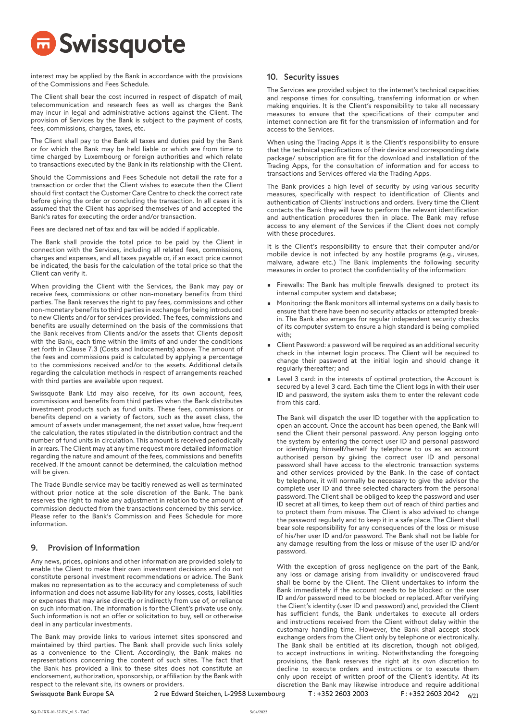# **D** Swissquote

interest may be applied by the Bank in accordance with the provisions of the Commissions and Fees Schedule.

The Client shall bear the cost incurred in respect of dispatch of mail, telecommunication and research fees as well as charges the Bank may incur in legal and administrative actions against the Client. The provision of Services by the Bank is subject to the payment of costs, fees, commissions, charges, taxes, etc.

The Client shall pay to the Bank all taxes and duties paid by the Bank or for which the Bank may be held liable or which are from time to time charged by Luxembourg or foreign authorities and which relate to transactions executed by the Bank in its relationship with the Client.

Should the Commissions and Fees Schedule not detail the rate for a transaction or order that the Client wishes to execute then the Client should first contact the Customer Care Centre to check the correct rate before giving the order or concluding the transaction. In all cases it is assumed that the Client has apprised themselves of and accepted the Bank's rates for executing the order and/or transaction.

Fees are declared net of tax and tax will be added if applicable.

The Bank shall provide the total price to be paid by the Client in connection with the Services, including all related fees, commissions, charges and expenses, and all taxes payable or, if an exact price cannot be indicated, the basis for the calculation of the total price so that the Client can verify it.

When providing the Client with the Services, the Bank may pay or receive fees, commissions or other non-monetary benefits from third parties. The Bank reserves the right to pay fees, commissions and other non-monetary benefits to third parties in exchange for being introduced to new Clients and/or for services provided. The fees, commissions and benefits are usually determined on the basis of the commissions that the Bank receives from Clients and/or the assets that Clients deposit with the Bank, each time within the limits of and under the conditions set forth in Clause 7.3 (Costs and Inducements) above. The amount of the fees and commissions paid is calculated by applying a percentage to the commissions received and/or to the assets. Additional details regarding the calculation methods in respect of arrangements reached with third parties are available upon request.

Swissquote Bank Ltd may also receive, for its own account, fees, commissions and benefits from third parties when the Bank distributes investment products such as fund units. These fees, commissions or benefits depend on a variety of factors, such as the asset class, the amount of assets under management, the net asset value, how frequent the calculation, the rates stipulated in the distribution contract and the number of fund units in circulation. This amount is received periodically in arrears. The Client may at any time request more detailed information regarding the nature and amount of the fees, commissions and benefits received. If the amount cannot be determined, the calculation method will be given.

The Trade Bundle service may be tacitly renewed as well as terminated without prior notice at the sole discretion of the Bank. The bank reserves the right to make any adjustment in relation to the amount of commission deducted from the transactions concerned by this service. Please refer to the Bank's Commission and Fees Schedule for more information.

# 9. Provision of Information

Any news, prices, opinions and other information are provided solely to enable the Client to make their own investment decisions and do not constitute personal investment recommendations or advice. The Bank makes no representation as to the accuracy and completeness of such information and does not assume liability for any losses, costs, liabilities or expenses that may arise directly or indirectly from use of, or reliance on such information. The information is for the Client's private use only. Such information is not an offer or solicitation to buy, sell or otherwise deal in any particular investments.

The Bank may provide links to various internet sites sponsored and maintained by third parties. The Bank shall provide such links solely as a convenience to the Client. Accordingly, the Bank makes no representations concerning the content of such sites. The fact that the Bank has provided a link to these sites does not constitute an endorsement, authorization, sponsorship, or affiliation by the Bank with respect to the relevant site, its owners or providers.

# 10. Security issues

The Services are provided subject to the internet's technical capacities and response times for consulting, transferring information or when making enquiries. It is the Client's responsibility to take all necessary measures to ensure that the specifications of their computer and internet connection are fit for the transmission of information and for access to the Services.

When using the Trading Apps it is the Client's responsibility to ensure that the technical specifications of their device and corresponding data package/ subscription are fit for the download and installation of the Trading Apps, for the consultation of information and for access to transactions and Services offered via the Trading Apps.

The Bank provides a high level of security by using various security measures, specifically with respect to identification of Clients and authentication of Clients' instructions and orders. Every time the Client contacts the Bank they will have to perform the relevant identification and authentication procedures then in place. The Bank may refuse access to any element of the Services if the Client does not comply with these procedures.

It is the Client's responsibility to ensure that their computer and/or mobile device is not infected by any hostile programs (e.g., viruses, malware, adware etc.) The Bank implements the following security measures in order to protect the confidentiality of the information:

- Firewalls: The Bank has multiple firewalls designed to protect its internal computer system and database;
- Monitoring: the Bank monitors all internal systems on a daily basis to ensure that there have been no security attacks or attempted breakin. The Bank also arranges for regular independent security checks of its computer system to ensure a high standard is being complied with:
- Client Password: a password will be required as an additional security check in the internet login process. The Client will be required to change their password at the initial login and should change it regularly thereafter; and
- Level 3 card: in the interests of optimal protection, the Account is secured by a level 3 card. Each time the Client logs in with their user ID and password, the system asks them to enter the relevant code from this card.

The Bank will dispatch the user ID together with the application to open an account. Once the account has been opened, the Bank will send the Client their personal password. Any person logging onto the system by entering the correct user ID and personal password or identifying himself/herself by telephone to us as an account authorised person by giving the correct user ID and personal password shall have access to the electronic transaction systems and other services provided by the Bank. In the case of contact by telephone, it will normally be necessary to give the advisor the complete user ID and three selected characters from the personal password. The Client shall be obliged to keep the password and user ID secret at all times, to keep them out of reach of third parties and to protect them from misuse. The Client is also advised to change the password regularly and to keep it in a safe place. The Client shall bear sole responsibility for any consequences of the loss or misuse of his/her user ID and/or password. The Bank shall not be liable for any damage resulting from the loss or misuse of the user ID and/or password.

With the exception of gross negligence on the part of the Bank, any loss or damage arising from invalidity or undiscovered fraud shall be borne by the Client. The Client undertakes to inform the Bank immediately if the account needs to be blocked or the user ID and/or password need to be blocked or replaced. After verifying the Client's identity (user ID and password) and, provided the Client has sufficient funds, the Bank undertakes to execute all orders and instructions received from the Client without delay within the customary handling time. However, the Bank shall accept stock exchange orders from the Client only by telephone or electronically. The Bank shall be entitled at its discretion, though not obliged, to accept instructions in writing. Notwithstanding the foregoing provisions, the Bank reserves the right at its own discretion to decline to execute orders and instructions or to execute them only upon receipt of written proof of the Client's identity. At its discretion the Bank may likewise introduce and require additional

SQ-D-IXX-01-37-EN\_v1.5 - T&C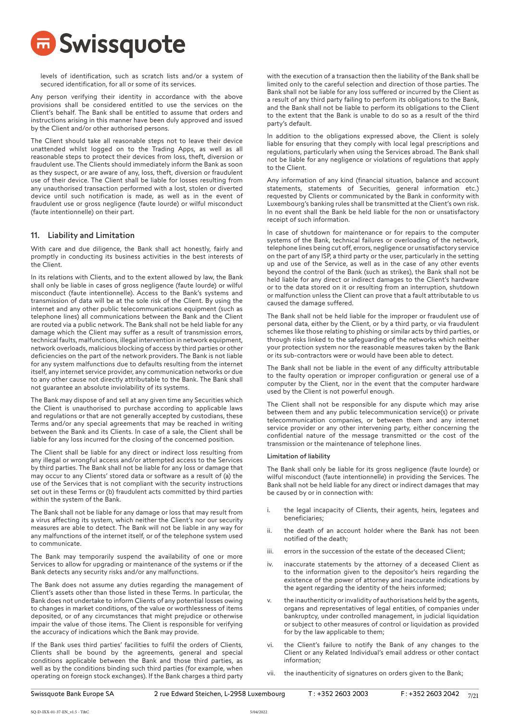

levels of identification, such as scratch lists and/or a system of secured identification, for all or some of its services.

Any person verifying their identity in accordance with the above provisions shall be considered entitled to use the services on the Client's behalf. The Bank shall be entitled to assume that orders and instructions arising in this manner have been duly approved and issued by the Client and/or other authorised persons.

The Client should take all reasonable steps not to leave their device unattended whilst logged on to the Trading Apps, as well as all reasonable steps to protect their devices from loss, theft, diversion or fraudulent use. The Clients should immediately inform the Bank as soon as they suspect, or are aware of any, loss, theft, diversion or fraudulent use of their device. The Client shall be liable for losses resulting from any unauthorised transaction performed with a lost, stolen or diverted device until such notification is made, as well as in the event of fraudulent use or gross negligence (faute lourde) or wilful misconduct (faute intentionnelle) on their part.

## 11. Liability and Limitation

With care and due diligence, the Bank shall act honestly, fairly and promptly in conducting its business activities in the best interests of the Client.

In its relations with Clients, and to the extent allowed by law, the Bank shall only be liable in cases of gross negligence (faute lourde) or wilful misconduct (faute intentionnelle). Access to the Bank's systems and transmission of data will be at the sole risk of the Client. By using the internet and any other public telecommunications equipment (such as telephone lines) all communications between the Bank and the Client are routed via a public network. The Bank shall not be held liable for any damage which the Client may suffer as a result of transmission errors, technical faults, malfunctions, illegal intervention in network equipment, network overloads, malicious blocking of access by third parties or other deficiencies on the part of the network providers. The Bank is not liable for any system malfunctions due to defaults resulting from the internet itself, any internet service provider, any communication networks or due to any other cause not directly attributable to the Bank. The Bank shall not guarantee an absolute inviolability of its systems.

The Bank may dispose of and sell at any given time any Securities which the Client is unauthorised to purchase according to applicable laws and regulations or that are not generally accepted by custodians, these Terms and/or any special agreements that may be reached in writing between the Bank and its Clients. In case of a sale, the Client shall be liable for any loss incurred for the closing of the concerned position.

The Client shall be liable for any direct or indirect loss resulting from any illegal or wrongful access and/or attempted access to the Services by third parties. The Bank shall not be liable for any loss or damage that may occur to any Clients' stored data or software as a result of (a) the use of the Services that is not compliant with the security instructions set out in these Terms or (b) fraudulent acts committed by third parties within the system of the Bank.

The Bank shall not be liable for any damage or loss that may result from a virus affecting its system, which neither the Client's nor our security measures are able to detect. The Bank will not be liable in any way for any malfunctions of the internet itself, or of the telephone system used to communicate.

The Bank may temporarily suspend the availability of one or more Services to allow for upgrading or maintenance of the systems or if the Bank detects any security risks and/or any malfunctions.

The Bank does not assume any duties regarding the management of Client's assets other than those listed in these Terms. In particular, the Bank does not undertake to inform Clients of any potential losses owing to changes in market conditions, of the value or worthlessness of items deposited, or of any circumstances that might prejudice or otherwise impair the value of those items. The Client is responsible for verifying the accuracy of indications which the Bank may provide.

If the Bank uses third parties' facilities to fulfil the orders of Clients, Clients shall be bound by the agreements, general and special conditions applicable between the Bank and those third parties, as well as by the conditions binding such third parties (for example, when operating on foreign stock exchanges). If the Bank charges a third party with the execution of a transaction then the liability of the Bank shall be limited only to the careful selection and direction of those parties. The Bank shall not be liable for any loss suffered or incurred by the Client as a result of any third party failing to perform its obligations to the Bank, and the Bank shall not be liable to perform its obligations to the Client to the extent that the Bank is unable to do so as a result of the third party's default.

In addition to the obligations expressed above, the Client is solely liable for ensuring that they comply with local legal prescriptions and regulations, particularly when using the Services abroad. The Bank shall not be liable for any negligence or violations of regulations that apply to the Client.

Any information of any kind (financial situation, balance and account statements, statements of Securities, general information etc.) requested by Clients or communicated by the Bank in conformity with Luxembourg's banking rules shall be transmitted at the Client's own risk. In no event shall the Bank be held liable for the non or unsatisfactory receipt of such information.

In case of shutdown for maintenance or for repairs to the computer systems of the Bank, technical failures or overloading of the network, telephone lines being cut off, errors, negligence or unsatisfactory service on the part of any ISP, a third party or the user, particularly in the setting up and use of the Service, as well as in the case of any other events beyond the control of the Bank (such as strikes), the Bank shall not be held liable for any direct or indirect damages to the Client's hardware or to the data stored on it or resulting from an interruption, shutdown or malfunction unless the Client can prove that a fault attributable to us caused the damage suffered.

The Bank shall not be held liable for the improper or fraudulent use of personal data, either by the Client, or by a third party, or via fraudulent schemes like those relating to phishing or similar acts by third parties, or through risks linked to the safeguarding of the networks which neither your protection system nor the reasonable measures taken by the Bank or its sub-contractors were or would have been able to detect.

The Bank shall not be liable in the event of any difficulty attributable to the faulty operation or improper configuration or general use of a computer by the Client, nor in the event that the computer hardware used by the Client is not powerful enough.

The Client shall not be responsible for any dispute which may arise between them and any public telecommunication service(s) or private telecommunication companies, or between them and any internet service provider or any other intervening party, either concerning the confidential nature of the message transmitted or the cost of the transmission or the maintenance of telephone lines.

## Limitation of liability

The Bank shall only be liable for its gross negligence (faute lourde) or wilful misconduct (faute intentionnelle) in providing the Services. The Bank shall not be held liable for any direct or indirect damages that may be caused by or in connection with:

- i. the legal incapacity of Clients, their agents, heirs, legatees and beneficiaries;
- ii. the death of an account holder where the Bank has not been notified of the death;
- iii. errors in the succession of the estate of the deceased Client;
- iv. inaccurate statements by the attorney of a deceased Client as to the information given to the depositor's heirs regarding the existence of the power of attorney and inaccurate indications by the agent regarding the identity of the heirs informed;
- v. the inauthenticity or invalidity of authorisations held by the agents, organs and representatives of legal entities, of companies under bankruptcy, under controlled management, in judicial liquidation or subject to other measures of control or liquidation as provided for by the law applicable to them;
- vi. the Client's failure to notify the Bank of any changes to the Client or any Related Individual's email address or other contact information;
- vii. the inauthenticity of signatures on orders given to the Bank;

SQ-D-IXX-01-37-EN\_v1.5 - T&C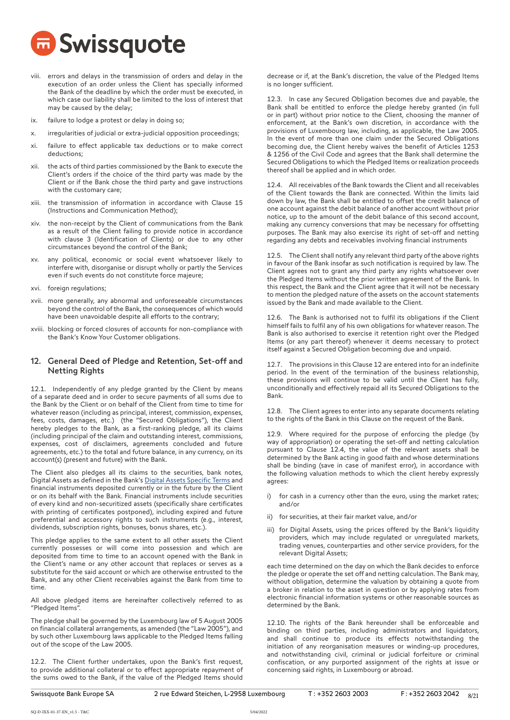

- viii. errors and delays in the transmission of orders and delay in the execution of an order unless the Client has specially informed the Bank of the deadline by which the order must be executed, in which case our liability shall be limited to the loss of interest that may be caused by the delay;
- ix. failure to lodge a protest or delay in doing so;
- x. irregularities of judicial or extra-judicial opposition proceedings;
- xi. failure to effect applicable tax deductions or to make correct deductions;
- xii. the acts of third parties commissioned by the Bank to execute the Client's orders if the choice of the third party was made by the Client or if the Bank chose the third party and gave instructions with the customary care;
- xiii. the transmission of information in accordance with Clause 15 (Instructions and Communication Method);
- xiv. the non-receipt by the Client of communications from the Bank as a result of the Client failing to provide notice in accordance with clause 3 (Identification of Clients) or due to any other circumstances beyond the control of the Bank;
- xv. any political, economic or social event whatsoever likely to interfere with, disorganise or disrupt wholly or partly the Services even if such events do not constitute force majeure;
- xvi. foreign regulations;
- xvii. more generally, any abnormal and unforeseeable circumstances beyond the control of the Bank, the consequences of which would have been unavoidable despite all efforts to the contrary;
- xviii. blocking or forced closures of accounts for non-compliance with the Bank's Know Your Customer obligations.

## 12. General Deed of Pledge and Retention, Set-off and Netting Rights

12.1. Independently of any pledge granted by the Client by means of a separate deed and in order to secure payments of all sums due to the Bank by the Client or on behalf of the Client from time to time for whatever reason (including as principal, interest, commission, expenses, fees, costs, damages, etc.) (the "Secured Obligations"), the Client hereby pledges to the Bank, as a first-ranking pledge, all its claims (including principal of the claim and outstanding interest, commissions, expenses, cost of disclaimers, agreements concluded and future agreements, etc.) to the total and future balance, in any currency, on its account(s) (present and future) with the Bank.

The Client also pledges all its claims to the securities, bank notes, Digital Assets as defined in the Bank's Digital Assets Specific Terms and financial instruments deposited currently or in the future by the Client or on its behalf with the Bank. Financial instruments include securities of every kind and non-securitized assets (specifically share certificates with printing of certificates postponed), including expired and future preferential and accessory rights to such instruments (e.g., interest, dividends, subscription rights, bonuses, bonus shares, etc.).

This pledge applies to the same extent to all other assets the Client currently possesses or will come into possession and which are deposited from time to time to an account opened with the Bank in the Client's name or any other account that replaces or serves as a substitute for the said account or which are otherwise entrusted to the Bank, and any other Client receivables against the Bank from time to time.

All above pledged items are hereinafter collectively referred to as "Pledged Items".

The pledge shall be governed by the Luxembourg law of 5 August 2005 on financial collateral arrangements, as amended (the "Law 2005"), and by such other Luxembourg laws applicable to the Pledged Items falling out of the scope of the Law 2005.

12.2. The Client further undertakes, upon the Bank's first request, to provide additional collateral or to effect appropriate repayment of the sums owed to the Bank, if the value of the Pledged Items should decrease or if, at the Bank's discretion, the value of the Pledged Items is no longer sufficient.

12.3. In case any Secured Obligation becomes due and payable, the Bank shall be entitled to enforce the pledge hereby granted (in full or in part) without prior notice to the Client, choosing the manner of enforcement, at the Bank's own discretion, in accordance with the provisions of Luxembourg law, including, as applicable, the Law 2005. In the event of more than one claim under the Secured Obligations becoming due, the Client hereby waives the benefit of Articles 1253 & 1256 of the Civil Code and agrees that the Bank shall determine the Secured Obligations to which the Pledged Items or realization proceeds thereof shall be applied and in which order.

12.4. All receivables of the Bank towards the Client and all receivables of the Client towards the Bank are connected. Within the limits laid down by law, the Bank shall be entitled to offset the credit balance of one account against the debit balance of another account without prior notice, up to the amount of the debit balance of this second account, making any currency conversions that may be necessary for offsetting purposes. The Bank may also exercise its right of set-off and netting regarding any debts and receivables involving financial instruments

12.5. The Client shall notify any relevant third party of the above rights in favour of the Bank insofar as such notification is required by law. The Client agrees not to grant any third party any rights whatsoever over the Pledged Items without the prior written agreement of the Bank. In this respect, the Bank and the Client agree that it will not be necessary to mention the pledged nature of the assets on the account statements issued by the Bank and made available to the Client.

12.6. The Bank is authorised not to fulfil its obligations if the Client himself fails to fulfil any of his own obligations for whatever reason. The Bank is also authorised to exercise it retention right over the Pledged Items (or any part thereof) whenever it deems necessary to protect itself against a Secured Obligation becoming due and unpaid.

12.7. The provisions in this Clause 12 are entered into for an indefinite period. In the event of the termination of the business relationship, these provisions will continue to be valid until the Client has fully, unconditionally and effectively repaid all its Secured Obligations to the Bank.

12.8. The Client agrees to enter into any separate documents relating to the rights of the Bank in this Clause on the request of the Bank.

12.9. Where required for the purpose of enforcing the pledge (by way of appropriation) or operating the set-off and netting calculation pursuant to Clause 12.4, the value of the relevant assets shall be determined by the Bank acting in good faith and whose determinations shall be binding (save in case of manifest error), in accordance with the following valuation methods to which the client hereby expressly agrees:

- i) for cash in a currency other than the euro, using the market rates; and/or
- ii) for securities, at their fair market value, and/or
- iii) for Digital Assets, using the prices offered by the Bank's liquidity providers, which may include regulated or unregulated markets, trading venues, counterparties and other service providers, for the relevant Digital Assets;

each time determined on the day on which the Bank decides to enforce the pledge or operate the set off and netting calculation. The Bank may, without obligation, determine the valuation by obtaining a quote from a broker in relation to the asset in question or by applying rates from electronic financial information systems or other reasonable sources as determined by the Bank.

12.10. The rights of the Bank hereunder shall be enforceable and binding on third parties, including administrators and liquidators, and shall continue to produce its effects notwithstanding the initiation of any reorganisation measures or winding-up procedures, and notwithstanding civil, criminal or judicial forfeiture or criminal confiscation, or any purported assignment of the rights at issue or concerning said rights, in Luxembourg or abroad.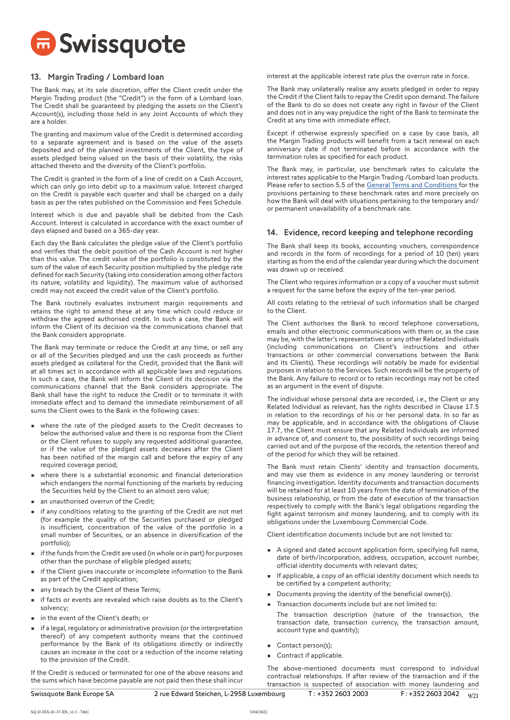

# 13. Margin Trading / Lombard loan

The Bank may, at its sole discretion, offer the Client credit under the Margin Trading product (the "Credit") in the form of a Lombard loan. The Credit shall be guaranteed by pledging the assets on the Client's Account(s), including those held in any Joint Accounts of which they are a holder.

The granting and maximum value of the Credit is determined according to a separate agreement and is based on the value of the assets deposited and of the planned investments of the Client, the type of assets pledged being valued on the basis of their volatility, the risks attached thereto and the diversity of the Client's portfolio.

The Credit is granted in the form of a line of credit on a Cash Account, which can only go into debit up to a maximum value. Interest charged on the Credit is payable each quarter and shall be charged on a daily basis as per the rates published on the Commission and Fees Schedule.

Interest which is due and payable shall be debited from the Cash Account. Interest is calculated in accordance with the exact number of days elapsed and based on a 365-day year.

Each day the Bank calculates the pledge value of the Client's portfolio and verifies that the debit position of the Cash Account is not higher than this value. The credit value of the portfolio is constituted by the sum of the value of each Security position multiplied by the pledge rate defined for each Security (taking into consideration among other factors its nature, volatility and liquidity). The maximum value of authorised credit may not exceed the credit value of the Client's portfolio.

The Bank routinely evaluates instrument margin requirements and retains the right to amend these at any time which could reduce or withdraw the agreed authorised credit. In such a case, the Bank will inform the Client of its decision via the communications channel that the Bank considers appropriate.

The Bank may terminate or reduce the Credit at any time, or sell any or all of the Securities pledged and use the cash proceeds as further assets pledged as collateral for the Credit, provided that the Bank will at all times act in accordance with all applicable laws and regulations. In such a case, the Bank will inform the Client of its decision via the communications channel that the Bank considers appropriate. The Bank shall have the right to reduce the Credit or to terminate it with immediate effect and to demand the immediate reimbursement of all sums the Client owes to the Bank in the following cases:

- where the rate of the pledged assets to the Credit decreases to below the authorised value and there is no response from the Client or the Client refuses to supply any requested additional guarantee, or if the value of the pledged assets decreases after the Client has been notified of the margin call and before the expiry of any required coverage period;
- where there is a substantial economic and financial deterioration which endangers the normal functioning of the markets by reducing the Securities held by the Client to an almost zero value;
- an unauthorised overrun of the Credit;
- if any conditions relating to the granting of the Credit are not met (for example the quality of the Securities purchased or pledged is insufficient, concentration of the value of the portfolio in a small number of Securities, or an absence in diversification of the portfolio);
- if the funds from the Credit are used (in whole or in part) for purposes other than the purchase of eligible pledged assets;
- if the Client gives inaccurate or incomplete information to the Bank as part of the Credit application;
- any breach by the Client of these Terms;
- if facts or events are revealed which raise doubts as to the Client's solvency;
- in the event of the Client's death; or
- if a legal, regulatory or administrative provision (or the interpretation thereof) of any competent authority means that the continued performance by the Bank of its obligations directly or indirectly causes an increase in the cost or a reduction of the income relating to the provision of the Credit.

If the Credit is reduced or terminated for one of the above reasons and the sums which have become payable are not paid then these shall incur interest at the applicable interest rate plus the overrun rate in force.

The Bank may unilaterally realise any assets pledged in order to repay the Credit if the Client fails to repay the Credit upon demand. The failure of the Bank to do so does not create any right in favour of the Client and does not in any way prejudice the right of the Bank to terminate the Credit at any time with immediate effect.

Except if otherwise expressly specified on a case by case basis, all the Margin Trading products will benefit from a tacit renewal on each anniversary date if not terminated before in accordance with the termination rules as specified for each product.

The Bank may, in particular, use benchmark rates to calculate the interest rates applicable to the Margin Trading /Lombard loan products. Please refer to section 5.5 of the [General Terms and Conditions f](https://library.swissquote.com/shared-images/general-terms-and-conditions-sqbe-en)or the provisions pertaining to these benchmark rates and more precisely on how the Bank will deal with situations pertaining to the temporary and/ or permanent unavailability of a benchmark rate.

## 14. Evidence, record keeping and telephone recording

The Bank shall keep its books, accounting vouchers, correspondence and records in the form of recordings for a period of 10 (ten) years starting as from the end of the calendar year during which the document was drawn up or received.

The Client who requires information or a copy of a voucher must submit a request for the same before the expiry of the ten-year period.

All costs relating to the retrieval of such information shall be charged to the Client.

The Client authorises the Bank to record telephone conversations, emails and other electronic communications with them or, as the case may be, with the latter's representatives or any other Related Individuals (including communications on Client's instructions and other transactions or other commercial conversations between the Bank and its Clients). These recordings will notably be made for evidential purposes in relation to the Services. Such records will be the property of the Bank. Any failure to record or to retain recordings may not be cited as an argument in the event of dispute.

The individual whose personal data are recorded, i.e., the Client or any Related Individual as relevant, has the rights described in Clause 17.5 in relation to the recordings of his or her personal data. In so far as may be applicable, and in accordance with the obligations of Clause 17.7, the Client must ensure that any Related Individuals are informed in advance of, and consent to, the possibility of such recordings being carried out and of the purpose of the records, the retention thereof and of the period for which they will be retained.

The Bank must retain Clients' identity and transaction documents, and may use them as evidence in any money laundering or terrorist financing investigation. Identity documents and transaction documents will be retained for at least 10 years from the date of termination of the business relationship, or from the date of execution of the transaction respectively to comply with the Bank's legal obligations regarding the fight against terrorism and money laundering, and to comply with its obligations under the Luxembourg Commercial Code.

Client identification documents include but are not limited to:

- A signed and dated account application form, specifying full name, date of birth/incorporation, address, occupation, account number, official identity documents with relevant dates;
- If applicable, a copy of an official identity document which needs to be certified by a competent authority;
- Documents proving the identity of the beneficial owner(s).
- Transaction documents include but are not limited to:
- The transaction description (nature of the transaction, the transaction date, transaction currency, the transaction amount, account type and quantity);

The above-mentioned documents must correspond to individual contractual relationships. If after review of the transaction and if the transaction is suspected of association with money laundering and

- **•** Contact person(s);
- Contract if applicable.

SQ-D-IXX-01-37-EN\_v1.5 - T&C

5/04/2022

 $9/21$ Swissquote Bank Europe SA 2rue Edward Steichen, L-2958 Luxembourg T: +352 2603 2003 F: +352 2603 2042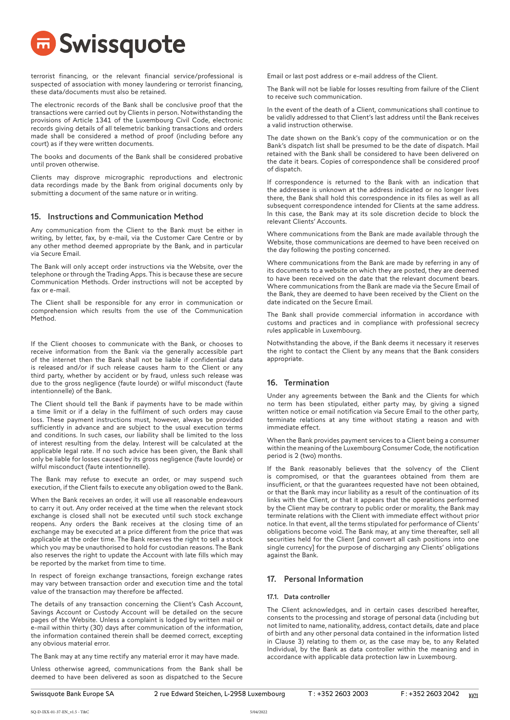

terrorist financing, or the relevant financial service/professional is suspected of association with money laundering or terrorist financing, these data/documents must also be retained.

The electronic records of the Bank shall be conclusive proof that the transactions were carried out by Clients in person. Notwithstanding the provisions of Article 1341 of the Luxembourg Civil Code, electronic records giving details of all telemetric banking transactions and orders made shall be considered a method of proof (including before any court) as if they were written documents.

The books and documents of the Bank shall be considered probative until proven otherwise.

Clients may disprove micrographic reproductions and electronic data recordings made by the Bank from original documents only by submitting a document of the same nature or in writing.

# 15. Instructions and Communication Method

Any communication from the Client to the Bank must be either in writing, by letter, fax, by e-mail, via the Customer Care Centre or by any other method deemed appropriate by the Bank, and in particular via Secure Email.

The Bank will only accept order instructions via the Website, over the telephone or through the Trading Apps. This is because these are secure Communication Methods. Order instructions will not be accepted by fax or e-mail.

The Client shall be responsible for any error in communication or comprehension which results from the use of the Communication Method.

If the Client chooses to communicate with the Bank, or chooses to receive information from the Bank via the generally accessible part of the internet then the Bank shall not be liable if confidential data is released and/or if such release causes harm to the Client or any third party, whether by accident or by fraud, unless such release was due to the gross negligence (faute lourde) or wilful misconduct (faute intentionnelle) of the Bank.

The Client should tell the Bank if payments have to be made within a time limit or if a delay in the fulfilment of such orders may cause loss. These payment instructions must, however, always be provided sufficiently in advance and are subject to the usual execution terms and conditions. In such cases, our liability shall be limited to the loss of interest resulting from the delay. Interest will be calculated at the applicable legal rate. If no such advice has been given, the Bank shall only be liable for losses caused by its gross negligence (faute lourde) or wilful misconduct (faute intentionnelle).

The Bank may refuse to execute an order, or may suspend such execution, if the Client fails to execute any obligation owed to the Bank.

When the Bank receives an order, it will use all reasonable endeavours to carry it out. Any order received at the time when the relevant stock exchange is closed shall not be executed until such stock exchange reopens. Any orders the Bank receives at the closing time of an exchange may be executed at a price different from the price that was applicable at the order time. The Bank reserves the right to sell a stock which you may be unauthorised to hold for custodian reasons. The Bank also reserves the right to update the Account with late fills which may be reported by the market from time to time.

In respect of foreign exchange transactions, foreign exchange rates may vary between transaction order and execution time and the total value of the transaction may therefore be affected.

The details of any transaction concerning the Client's Cash Account, Savings Account or Custody Account will be detailed on the secure pages of the Website. Unless a complaint is lodged by written mail or e-mail within thirty (30) days after communication of the information, the information contained therein shall be deemed correct, excepting any obvious material error.

The Bank may at any time rectify any material error it may have made.

Unless otherwise agreed, communications from the Bank shall be deemed to have been delivered as soon as dispatched to the Secure Email or last post address or e-mail address of the Client.

The Bank will not be liable for losses resulting from failure of the Client to receive such communication.

In the event of the death of a Client, communications shall continue to be validly addressed to that Client's last address until the Bank receives a valid instruction otherwise.

The date shown on the Bank's copy of the communication or on the Bank's dispatch list shall be presumed to be the date of dispatch. Mail retained with the Bank shall be considered to have been delivered on the date it bears. Copies of correspondence shall be considered proof of dispatch.

If correspondence is returned to the Bank with an indication that the addressee is unknown at the address indicated or no longer lives there, the Bank shall hold this correspondence in its files as well as all subsequent correspondence intended for Clients at the same address. In this case, the Bank may at its sole discretion decide to block the relevant Clients' Accounts.

Where communications from the Bank are made available through the Website, those communications are deemed to have been received on the day following the posting concerned.

Where communications from the Bank are made by referring in any of its documents to a website on which they are posted, they are deemed to have been received on the date that the relevant document bears. Where communications from the Bank are made via the Secure Email of the Bank, they are deemed to have been received by the Client on the date indicated on the Secure Email.

The Bank shall provide commercial information in accordance with customs and practices and in compliance with professional secrecy rules applicable in Luxembourg.

Notwithstanding the above, if the Bank deems it necessary it reserves the right to contact the Client by any means that the Bank considers appropriate.

# 16. Termination

Under any agreements between the Bank and the Clients for which no term has been stipulated, either party may, by giving a signed written notice or email notification via Secure Email to the other party, terminate relations at any time without stating a reason and with immediate effect.

When the Bank provides payment services to a Client being a consumer within the meaning of the Luxembourg Consumer Code, the notification period is 2 (two) months.

If the Bank reasonably believes that the solvency of the Client is compromised, or that the guarantees obtained from them are insufficient, or that the guarantees requested have not been obtained, or that the Bank may incur liability as a result of the continuation of its links with the Client, or that it appears that the operations performed by the Client may be contrary to public order or morality, the Bank may terminate relations with the Client with immediate effect without prior notice. In that event, all the terms stipulated for performance of Clients' obligations become void. The Bank may, at any time thereafter, sell all securities held for the Client [and convert all cash positions into one single currency] for the purpose of discharging any Clients' obligations against the Bank.

## 17. Personal Information

## 17.1. Data controller

The Client acknowledges, and in certain cases described hereafter, consents to the processing and storage of personal data (including but not limited to name, nationality, address, contact details, date and place of birth and any other personal data contained in the information listed in Clause 3) relating to them or, as the case may be, to any Related Individual, by the Bank as data controller within the meaning and in accordance with applicable data protection law in Luxembourg.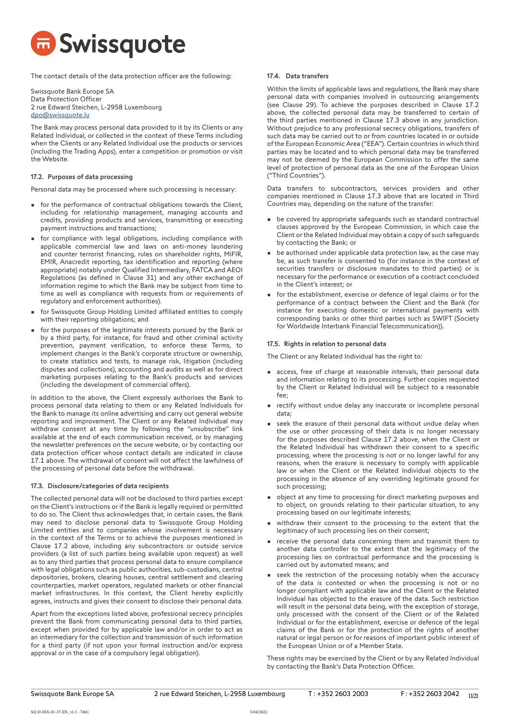

The contact details of the data protection officer are the following:

Swissquote Bank Europe SA Data Protection Officer 2 rue Edward Steichen, L-2958 Luxembourg [dpo@swissquote.lu](mailto:dpo%40swissquote.lu?subject=)

The Bank may process personal data provided to it by its Clients or any Related Individual, or collected in the context of these Terms including when the Clients or any Related Individual use the products or services (including the Trading Apps), enter a competition or promotion or visit the Website.

## 17.2. Purposes of data processing

Personal data may be processed where such processing is necessary:

- for the performance of contractual obligations towards the Client, including for relationship management, managing accounts and credits, providing products and services, transmitting or executing payment instructions and transactions;
- for compliance with legal obligations, including compliance with applicable commercial law and laws on anti-money laundering and counter terrorist financing, rules on shareholder rights, MiFIR, EMIR, Anacredit reporting, tax identification and reporting (where appropriate) notably under Qualified Intermediary, FATCA and AEOI Regulations (as defined in Clause 31) and any other exchange of information regime to which the Bank may be subject from time to time as well as compliance with requests from or requirements of regulatory and enforcement authorities).
- for Swissquote Group Holding Limited affiliated entities to comply with their reporting obligations; and
- for the purposes of the legitimate interests pursued by the Bank or by a third party, for instance, for fraud and other criminal activity prevention, payment verification, to enforce these Terms, to implement changes in the Bank's corporate structure or ownership, to create statistics and tests, to manage risk, litigation (including disputes and collections), accounting and audits as well as for direct marketing purposes relating to the Bank's products and services (including the development of commercial offers).

In addition to the above, the Client expressly authorises the Bank to process personal data relating to them or any Related Individuals for the Bank to manage its online advertising and carry out general website reporting and improvement. The Client or any Related Individual may withdraw consent at any time by following the "unsubscribe" link available at the end of each communication received, or by managing the newsletter preferences on the secure website, or by contacting our data protection officer whose contact details are indicated in clause 17.1 above. The withdrawal of consent will not affect the lawfulness of the processing of personal data before the withdrawal.

## 17.3. Disclosure/categories of data recipients

The collected personal data will not be disclosed to third parties except on the Client's instructions or if the Bank is legally required or permitted to do so. The Client thus acknowledges that, in certain cases, the Bank may need to disclose personal data to Swissquote Group Holding Limited entities and to companies whose involvement is necessary in the context of the Terms or to achieve the purposes mentioned in Clause 17.2 above, including any subcontractors or outside service providers (a list of such parties being available upon request) as well as to any third parties that process personal data to ensure compliance with legal obligations such as public authorities, sub-custodians, central depositories, brokers, clearing houses, central settlement and clearing counterparties, market operators, regulated markets or other financial market infrastructures. In this context, the Client hereby explicitly agrees, instructs and gives their consent to disclose their personal data.

Apart from the exceptions listed above, professional secrecy principles prevent the Bank from communicating personal data to third parties, except when provided for by applicable law and/or in order to act as an intermediary for the collection and transmission of such information for a third party (if not upon your formal instruction and/or express approval or in the case of a compulsory legal obligation).

## 17.4. Data transfers

Within the limits of applicable laws and regulations, the Bank may share personal data with companies involved in outsourcing arrangements (see Clause 29). To achieve the purposes described in Clause 17.2 above, the collected personal data may be transferred to certain of the third parties mentioned in Clause 17.3 above in any jurisdiction. Without prejudice to any professional secrecy obligations, transfers of such data may be carried out to or from countries located in or outside of the European Economic Area ("EEA"). Certain countries in which third parties may be located and to which personal data may be transferred may not be deemed by the European Commission to offer the same level of protection of personal data as the one of the European Union ("Third Countries").

Data transfers to subcontractors, services providers and other companies mentioned in Clause 17.3 above that are located in Third Countries may, depending on the nature of the transfer:

- be covered by appropriate safeguards such as standard contractual clauses approved by the European Commission, in which case the Client or the Related Individual may obtain a copy of such safeguards by contacting the Bank; or
- be authorised under applicable data protection law, as the case may be, as such transfer is consented to (for instance in the context of securities transfers or disclosure mandates to third parties) or is necessary for the performance or execution of a contract concluded in the Client's interest; or
- for the establishment, exercise or defence of legal claims or for the performance of a contract between the Client and the Bank (for instance for executing domestic or international payments with corresponding banks or other third parties such as SWIFT (Society for Worldwide Interbank Financial Telecommunication)).

#### 17.5. Rights in relation to personal data

The Client or any Related Individual has the right to:

- access, free of charge at reasonable intervals, their personal data and information relating to its processing. Further copies requested by the Client or Related Individual will be subject to a reasonable fee;
- rectify without undue delay any inaccurate or incomplete personal data;
- seek the erasure of their personal data without undue delay when the use or other processing of their data is no longer necessary for the purposes described Clause 17.2 above, when the Client or the Related Individual has withdrawn their consent to a specific processing, where the processing is not or no longer lawful for any reasons, when the erasure is necessary to comply with applicable law or when the Client or the Related Individual objects to the processing in the absence of any overriding legitimate ground for such processing;
- object at any time to processing for direct marketing purposes and to object, on grounds relating to their particular situation, to any processing based on our legitimate interests;
- withdraw their consent to the processing to the extent that the legitimacy of such processing lies on their consent;
- receive the personal data concerning them and transmit them to another data controller to the extent that the legitimacy of the processing lies on contractual performance and the processing is carried out by automated means; and
- seek the restriction of the processing notably when the accuracy of the data is contested or when the processing is not or no longer compliant with applicable law and the Client or the Related Individual has objected to the erasure of the data. Such restriction will result in the personal data being, with the exception of storage, only processed with the consent of the Client or of the Related Individual or for the establishment, exercise or defence of the legal claims of the Bank or for the protection of the rights of another natural or legal person or for reasons of important public interest of the European Union or of a Member State.

These rights may be exercised by the Client or by any Related Individual by contacting the Bank's Data Protection Officer.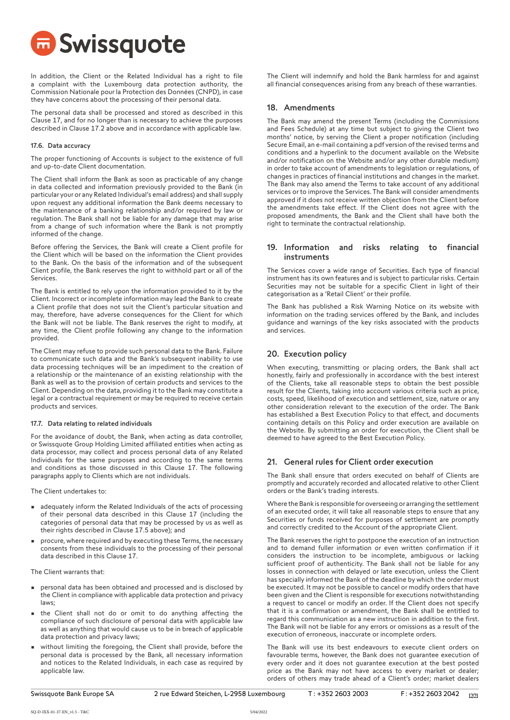**B** Swissquote

In addition, the Client or the Related Individual has a right to file a complaint with the Luxembourg data protection authority, the Commission Nationale pour la Protection des Données (CNPD), in case they have concerns about the processing of their personal data.

The personal data shall be processed and stored as described in this Clause 17, and for no longer than is necessary to achieve the purposes described in Clause 17.2 above and in accordance with applicable law.

## 17.6. Data accuracy

The proper functioning of Accounts is subject to the existence of full and up-to-date Client documentation.

The Client shall inform the Bank as soon as practicable of any change in data collected and information previously provided to the Bank (in particular your or any Related Individual's email address) and shall supply upon request any additional information the Bank deems necessary to the maintenance of a banking relationship and/or required by law or regulation. The Bank shall not be liable for any damage that may arise from a change of such information where the Bank is not promptly informed of the change.

Before offering the Services, the Bank will create a Client profile for the Client which will be based on the information the Client provides to the Bank. On the basis of the information and of the subsequent Client profile, the Bank reserves the right to withhold part or all of the Services.

The Bank is entitled to rely upon the information provided to it by the Client. Incorrect or incomplete information may lead the Bank to create a Client profile that does not suit the Client's particular situation and may, therefore, have adverse consequences for the Client for which the Bank will not be liable. The Bank reserves the right to modify, at any time, the Client profile following any change to the information provided.

The Client may refuse to provide such personal data to the Bank. Failure to communicate such data and the Bank's subsequent inability to use data processing techniques will be an impediment to the creation of a relationship or the maintenance of an existing relationship with the Bank as well as to the provision of certain products and services to the Client. Depending on the data, providing it to the Bank may constitute a legal or a contractual requirement or may be required to receive certain products and services.

## 17.7. Data relating to related individuals

For the avoidance of doubt, the Bank, when acting as data controller, or Swissquote Group Holding Limited affiliated entities when acting as data processor, may collect and process personal data of any Related Individuals for the same purposes and according to the same terms and conditions as those discussed in this Clause 17. The following paragraphs apply to Clients which are not individuals.

The Client undertakes to:

- adequately inform the Related Individuals of the acts of processing of their personal data described in this Clause 17 (including the categories of personal data that may be processed by us as well as their rights described in Clause 17.5 above); and
- procure, where required and by executing these Terms, the necessary consents from these individuals to the processing of their personal data described in this Clause 17.

The Client warrants that:

- personal data has been obtained and processed and is disclosed by the Client in compliance with applicable data protection and privacy laws;
- the Client shall not do or omit to do anything affecting the compliance of such disclosure of personal data with applicable law as well as anything that would cause us to be in breach of applicable data protection and privacy laws;
- without limiting the foregoing, the Client shall provide, before the personal data is processed by the Bank, all necessary information and notices to the Related Individuals, in each case as required by applicable law.

The Client will indemnify and hold the Bank harmless for and against all financial consequences arising from any breach of these warranties.

## 18. Amendments

The Bank may amend the present Terms (including the Commissions and Fees Schedule) at any time but subject to giving the Client two months' notice, by serving the Client a proper notification (including Secure Email, an e-mail containing a pdf version of the revised terms and conditions and a hyperlink to the document available on the Website and/or notification on the Website and/or any other durable medium) in order to take account of amendments to legislation or regulations, of changes in practices of financial institutions and changes in the market. The Bank may also amend the Terms to take account of any additional services or to improve the Services. The Bank will consider amendments approved if it does not receive written objection from the Client before the amendments take effect. If the Client does not agree with the proposed amendments, the Bank and the Client shall have both the right to terminate the contractual relationship.

# 19. Information and risks relating to financial instruments

The Services cover a wide range of Securities. Each type of financial instrument has its own features and is subject to particular risks. Certain Securities may not be suitable for a specific Client in light of their categorisation as a 'Retail Client' or their profile.

The Bank has published a Risk Warning Notice on its website with information on the trading services offered by the Bank, and includes guidance and warnings of the key risks associated with the products and services.

## 20. Execution policy

When executing, transmitting or placing orders, the Bank shall act honestly, fairly and professionally in accordance with the best interest of the Clients, take all reasonable steps to obtain the best possible result for the Clients, taking into account various criteria such as price, costs, speed, likelihood of execution and settlement, size, nature or any other consideration relevant to the execution of the order. The Bank has established a Best Execution Policy to that effect, and documents containing details on this Policy and order execution are available on the Website. By submitting an order for execution, the Client shall be deemed to have agreed to the Best Execution Policy.

# 21. General rules for Client order execution

The Bank shall ensure that orders executed on behalf of Clients are promptly and accurately recorded and allocated relative to other Client orders or the Bank's trading interests.

Where the Bank is responsible for overseeing or arranging the settlement of an executed order, it will take all reasonable steps to ensure that any Securities or funds received for purposes of settlement are promptly and correctly credited to the Account of the appropriate Client.

The Bank reserves the right to postpone the execution of an instruction and to demand fuller information or even written confirmation if it considers the instruction to be incomplete, ambiguous or lacking sufficient proof of authenticity. The Bank shall not be liable for any losses in connection with delayed or late execution, unless the Client has specially informed the Bank of the deadline by which the order must be executed. It may not be possible to cancel or modify orders that have been given and the Client is responsible for executions notwithstanding a request to cancel or modify an order. If the Client does not specify that it is a confirmation or amendment, the Bank shall be entitled to regard this communication as a new instruction in addition to the first. The Bank will not be liable for any errors or omissions as a result of the execution of erroneous, inaccurate or incomplete orders.

The Bank will use its best endeavours to execute client orders on favourable terms, however, the Bank does not guarantee execution of every order and it does not guarantee execution at the best posted price as the Bank may not have access to every market or dealer; orders of others may trade ahead of a Client's order; market dealers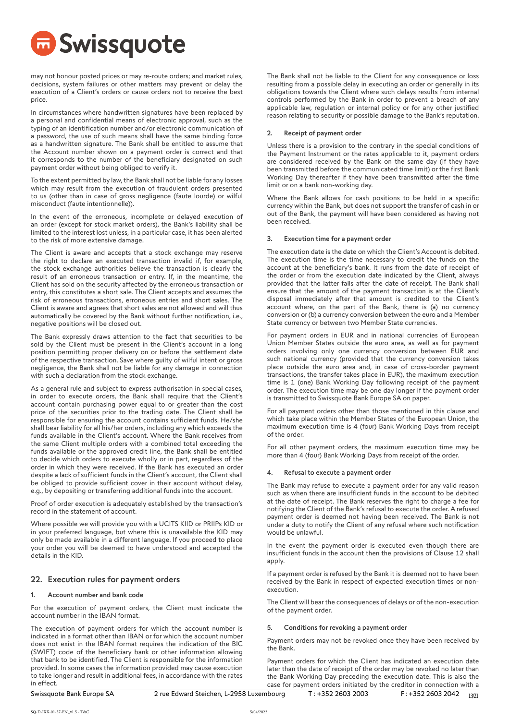

may not honour posted prices or may re-route orders; and market rules, decisions, system failures or other matters may prevent or delay the execution of a Client's orders or cause orders not to receive the best price.

In circumstances where handwritten signatures have been replaced by a personal and confidential means of electronic approval, such as the typing of an identification number and/or electronic communication of a password, the use of such means shall have the same binding force as a handwritten signature. The Bank shall be entitled to assume that the Account number shown on a payment order is correct and that it corresponds to the number of the beneficiary designated on such payment order without being obliged to verify it.

To the extent permitted by law, the Bank shall not be liable for any losses which may result from the execution of fraudulent orders presented to us (other than in case of gross negligence (faute lourde) or wilful misconduct (faute intentionnelle)).

In the event of the erroneous, incomplete or delayed execution of an order (except for stock market orders), the Bank's liability shall be limited to the interest lost unless, in a particular case, it has been alerted to the risk of more extensive damage.

The Client is aware and accepts that a stock exchange may reserve the right to declare an executed transaction invalid if, for example, the stock exchange authorities believe the transaction is clearly the result of an erroneous transaction or entry. If, in the meantime, the Client has sold on the security affected by the erroneous transaction or entry, this constitutes a short sale. The Client accepts and assumes the risk of erroneous transactions, erroneous entries and short sales. The Client is aware and agrees that short sales are not allowed and will thus automatically be covered by the Bank without further notification, i.e., negative positions will be closed out.

The Bank expressly draws attention to the fact that securities to be sold by the Client must be present in the Client's account in a long position permitting proper delivery on or before the settlement date of the respective transaction. Save where guilty of wilful intent or gross negligence, the Bank shall not be liable for any damage in connection with such a declaration from the stock exchange.

As a general rule and subject to express authorisation in special cases, in order to execute orders, the Bank shall require that the Client's account contain purchasing power equal to or greater than the cost price of the securities prior to the trading date. The Client shall be responsible for ensuring the account contains sufficient funds. He/she shall bear liability for all his/her orders, including any which exceeds the funds available in the Client's account. Where the Bank receives from the same Client multiple orders with a combined total exceeding the funds available or the approved credit line, the Bank shall be entitled to decide which orders to execute wholly or in part, regardless of the order in which they were received. If the Bank has executed an order despite a lack of sufficient funds in the Client's account, the Client shall be obliged to provide sufficient cover in their account without delay, e.g., by depositing or transferring additional funds into the account.

Proof of order execution is adequately established by the transaction's record in the statement of account.

Where possible we will provide you with a UCITS KIID or PRIIPs KID or in your preferred language, but where this is unavailable the KID may only be made available in a different language. If you proceed to place your order you will be deemed to have understood and accepted the details in the KID.

## 22. Execution rules for payment orders

## Account number and bank code

For the execution of payment orders, the Client must indicate the account number in the IBAN format.

The execution of payment orders for which the account number is indicated in a format other than IBAN or for which the account number does not exist in the IBAN format requires the indication of the BIC (SWIFT) code of the beneficiary bank or other information allowing that bank to be identified. The Client is responsible for the information provided. In some cases the information provided may cause execution to take longer and result in additional fees, in accordance with the rates in effect.

Swissquote Bank Europe SA 2 rue Edward Steichen, L-2958 Luxembourg T: +352 2603 2003

The Bank shall not be liable to the Client for any consequence or loss resulting from a possible delay in executing an order or generally in its obligations towards the Client where such delays results from internal controls performed by the Bank in order to prevent a breach of any applicable law, regulation or internal policy or for any other justified reason relating to security or possible damage to the Bank's reputation.

#### 2. Receipt of payment order

Unless there is a provision to the contrary in the special conditions of the Payment Instrument or the rates applicable to it, payment orders are considered received by the Bank on the same day (if they have been transmitted before the communicated time limit) or the first Bank Working Day thereafter if they have been transmitted after the time limit or on a bank non-working day.

Where the Bank allows for cash positions to be held in a specific currency within the Bank, but does not support the transfer of cash in or out of the Bank, the payment will have been considered as having not been received.

#### 3. Execution time for a payment order

The execution date is the date on which the Client's Account is debited. The execution time is the time necessary to credit the funds on the account at the beneficiary's bank. It runs from the date of receipt of the order or from the execution date indicated by the Client, always provided that the latter falls after the date of receipt. The Bank shall ensure that the amount of the payment transaction is at the Client's disposal immediately after that amount is credited to the Client's account where, on the part of the Bank, there is (a) no currency conversion or (b) a currency conversion between the euro and a Member State currency or between two Member State currencies.

For payment orders in EUR and in national currencies of European Union Member States outside the euro area, as well as for payment orders involving only one currency conversion between EUR and such national currency (provided that the currency conversion takes place outside the euro area and, in case of cross-border payment transactions, the transfer takes place in EUR), the maximum execution time is 1 (one) Bank Working Day following receipt of the payment order. The execution time may be one day longer if the payment order is transmitted to Swissquote Bank Europe SA on paper.

For all payment orders other than those mentioned in this clause and which take place within the Member States of the European Union, the maximum execution time is 4 (four) Bank Working Days from receipt of the order.

For all other payment orders, the maximum execution time may be more than 4 (four) Bank Working Days from receipt of the order.

#### Refusal to execute a payment order

The Bank may refuse to execute a payment order for any valid reason such as when there are insufficient funds in the account to be debited at the date of receipt. The Bank reserves the right to charge a fee for notifying the Client of the Bank's refusal to execute the order. A refused payment order is deemed not having been received. The Bank is not under a duty to notify the Client of any refusal where such notification would be unlawful.

In the event the payment order is executed even though there are insufficient funds in the account then the provisions of Clause 12 shall apply.

If a payment order is refused by the Bank it is deemed not to have been received by the Bank in respect of expected execution times or nonexecution.

The Client will bear the consequences of delays or of the non-execution of the payment order.

#### 5. Conditions for revoking a payment order

Payment orders may not be revoked once they have been received by the Bank.

Payment orders for which the Client has indicated an execution date later than the date of receipt of the order may be revoked no later than the Bank Working Day preceding the execution date. This is also the case for payment orders initiated by the creditor in connection with a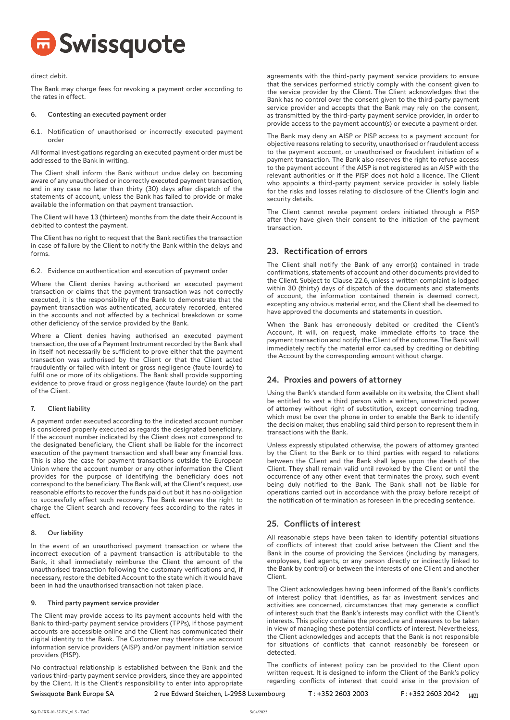

direct debit.

The Bank may charge fees for revoking a payment order according to the rates in effect.

#### Contesting an executed payment order

6.1. Notification of unauthorised or incorrectly executed payment order

All formal investigations regarding an executed payment order must be addressed to the Bank in writing.

The Client shall inform the Bank without undue delay on becoming aware of any unauthorised or incorrectly executed payment transaction, and in any case no later than thirty (30) days after dispatch of the statements of account, unless the Bank has failed to provide or make available the information on that payment transaction.

The Client will have 13 (thirteen) months from the date their Account is debited to contest the payment.

The Client has no right to request that the Bank rectifies the transaction in case of failure by the Client to notify the Bank within the delays and forms.

6.2. Evidence on authentication and execution of payment order

Where the Client denies having authorised an executed payment transaction or claims that the payment transaction was not correctly executed, it is the responsibility of the Bank to demonstrate that the payment transaction was authenticated, accurately recorded, entered in the accounts and not affected by a technical breakdown or some other deficiency of the service provided by the Bank.

Where a Client denies having authorised an executed payment transaction, the use of a Payment Instrument recorded by the Bank shall in itself not necessarily be sufficient to prove either that the payment transaction was authorised by the Client or that the Client acted fraudulently or failed with intent or gross negligence (faute lourde) to fulfil one or more of its obligations. The Bank shall provide supporting evidence to prove fraud or gross negligence (faute lourde) on the part of the Client.

## 7. Client liability

A payment order executed according to the indicated account number is considered properly executed as regards the designated beneficiary. If the account number indicated by the Client does not correspond to the designated beneficiary, the Client shall be liable for the incorrect execution of the payment transaction and shall bear any financial loss. This is also the case for payment transactions outside the European Union where the account number or any other information the Client provides for the purpose of identifying the beneficiary does not correspond to the beneficiary. The Bank will, at the Client's request, use reasonable efforts to recover the funds paid out but it has no obligation to successfully effect such recovery. The Bank reserves the right to charge the Client search and recovery fees according to the rates in effect.

## 8. Our liability

In the event of an unauthorised payment transaction or where the incorrect execution of a payment transaction is attributable to the Bank, it shall immediately reimburse the Client the amount of the unauthorised transaction following the customary verifications and, if necessary, restore the debited Account to the state which it would have been in had the unauthorised transaction not taken place.

## 9. Third party payment service provider

The Client may provide access to its payment accounts held with the Bank to third-party payment service providers (TPPs), if those payment accounts are accessible online and the Client has communicated their digital identity to the Bank. The Customer may therefore use account information service providers (AISP) and/or payment initiation service providers (PISP).

No contractual relationship is established between the Bank and the various third-party payment service providers, since they are appointed by the Client. It is the Client's responsibility to enter into appropriate agreements with the third-party payment service providers to ensure that the services performed strictly comply with the consent given to the service provider by the Client. The Client acknowledges that the Bank has no control over the consent given to the third-party payment service provider and accepts that the Bank may rely on the consent, as transmitted by the third-party payment service provider, in order to provide access to the payment account(s) or execute a payment order.

The Bank may deny an AISP or PISP access to a payment account for objective reasons relating to security, unauthorised or fraudulent access to the payment account, or unauthorised or fraudulent initiation of a payment transaction. The Bank also reserves the right to refuse access to the payment account if the AISP is not registered as an AISP with the relevant authorities or if the PISP does not hold a licence. The Client who appoints a third-party payment service provider is solely liable for the risks and losses relating to disclosure of the Client's login and security details.

The Client cannot revoke payment orders initiated through a PISP after they have given their consent to the initiation of the payment transaction.

## 23. Rectification of errors

The Client shall notify the Bank of any error(s) contained in trade confirmations, statements of account and other documents provided to the Client. Subject to Clause 22.6, unless a written complaint is lodged within 30 (thirty) days of dispatch of the documents and statements of account, the information contained therein is deemed correct, excepting any obvious material error, and the Client shall be deemed to have approved the documents and statements in question.

When the Bank has erroneously debited or credited the Client's Account, it will, on request, make immediate efforts to trace the payment transaction and notify the Client of the outcome. The Bank will immediately rectify the material error caused by crediting or debiting the Account by the corresponding amount without charge.

## 24. Proxies and powers of attorney

Using the Bank's standard form available on its website, the Client shall be entitled to vest a third person with a written, unrestricted power of attorney without right of substitution, except concerning trading, which must be over the phone in order to enable the Bank to identify the decision maker, thus enabling said third person to represent them in transactions with the Bank.

Unless expressly stipulated otherwise, the powers of attorney granted by the Client to the Bank or to third parties with regard to relations between the Client and the Bank shall lapse upon the death of the Client. They shall remain valid until revoked by the Client or until the occurrence of any other event that terminates the proxy, such event being duly notified to the Bank. The Bank shall not be liable for operations carried out in accordance with the proxy before receipt of the notification of termination as foreseen in the preceding sentence.

# 25. Conflicts of interest

All reasonable steps have been taken to identify potential situations of conflicts of interest that could arise between the Client and the Bank in the course of providing the Services (including by managers, employees, tied agents, or any person directly or indirectly linked to the Bank by control) or between the interests of one Client and another Client.

The Client acknowledges having been informed of the Bank's conflicts of interest policy that identifies, as far as investment services and activities are concerned, circumstances that may generate a conflict of interest such that the Bank's interests may conflict with the Client's interests. This policy contains the procedure and measures to be taken in view of managing these potential conflicts of interest. Nevertheless, the Client acknowledges and accepts that the Bank is not responsible for situations of conflicts that cannot reasonably be foreseen or detected.

The conflicts of interest policy can be provided to the Client upon written request. It is designed to inform the Client of the Bank's policy regarding conflicts of interest that could arise in the provision of

Swissquote Bank Europe SA 2 rue Edward Steichen, L-2958 Luxembourg T: +352 2603 2003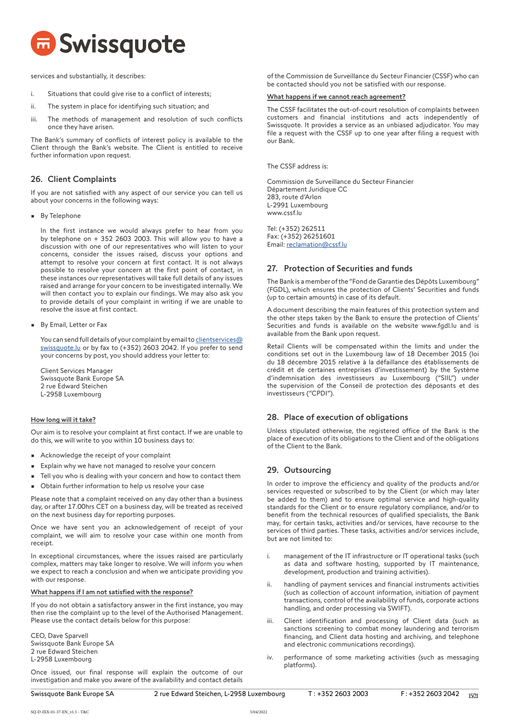

services and substantially, it describes:

- i. Situations that could give rise to a conflict of interests;
- ii. The system in place for identifying such situation; and
- iii. The methods of management and resolution of such conflicts once they have arisen.

The Bank's summary of conflicts of interest policy is available to the Client through the Bank's website. The Client is entitled to receive further information upon request.

## 26. Client Complaints

If you are not satisfied with any aspect of our service you can tell us about your concerns in the following ways:

• By Telephone

In the first instance we would always prefer to hear from you by telephone on + 352 2603 2003. This will allow you to have a discussion with one of our representatives who will listen to your concerns, consider the issues raised, discuss your options and attempt to resolve your concern at first contact. It is not always possible to resolve your concern at the first point of contact, in these instances our representatives will take full details of any issues raised and arrange for your concern to be investigated internally. We will then contact you to explain our findings. We may also ask you to provide details of your complaint in writing if we are unable to resolve the issue at first contact.

• By Email, Letter or Fax

You can send full details of your complaint by email to [clientservices@](mailto:clientservices%40swissquote.lu?subject=) [swissquote.lu](mailto:clientservices%40swissquote.lu?subject=) or by fax to (+352) 2603 2042. If you prefer to send your concerns by post, you should address your letter to:

Client Services Manager Swissquote Bank Europe SA 2 rue Edward Steichen L-2958 Luxembourg

## How long will it take?

Our aim is to resolve your complaint at first contact. If we are unable to do this, we will write to you within 10 business days to:

- Acknowledge the receipt of your complaint
- Explain why we have not managed to resolve your concern
- Tell you who is dealing with your concern and how to contact them
- Obtain further information to help us resolve your case

Please note that a complaint received on any day other than a business day, or after 17.00hrs CET on a business day, will be treated as received on the next business day for reporting purposes.

Once we have sent you an acknowledgement of receipt of your complaint, we will aim to resolve your case within one month from receipt.

In exceptional circumstances, where the issues raised are particularly complex, matters may take longer to resolve. We will inform you when we expect to reach a conclusion and when we anticipate providing you with our response.

## What happens if I am not satisfied with the response?

If you do not obtain a satisfactory answer in the first instance, you may then rise the complaint up to the level of the Authorised Management. Please use the contact details below for this purpose:

CEO, Dave Sparvell Swissquote Bank Europe SA 2 rue Edward Steichen L-2958 Luxembourg

Once issued, our final response will explain the outcome of our investigation and make you aware of the availability and contact details of the Commission de Surveillance du Secteur Financier (CSSF) who can be contacted should you not be satisfied with our response.

#### What happens if we cannot reach agreement?

The CSSF facilitates the out-of-court resolution of complaints between customers and financial institutions and acts independently of Swissquote. It provides a service as an unbiased adjudicator. You may file a request with the CSSF up to one year after filing a request with our Bank.

The CSSF address is:

Commission de Surveillance du Secteur Financier Département Juridique CC 283, route d'Arlon L-2991 Luxembourg www.cssf.lu

Tel: (+352) 262511 Fax: (+352) 26251601 Email: [reclamation@cssf.lu](mailto:reclamation%40cssf.lu?subject=)

## 27. Protection of Securities and funds

The Bank is a member of the "Fond de Garantie des Dépôts Luxembourg" (FGDL), which ensures the protection of Clients' Securities and funds (up to certain amounts) in case of its default.

A document describing the main features of this protection system and the other steps taken by the Bank to ensure the protection of Clients' Securities and funds is available on the website www.fgdl.lu and is available from the Bank upon request.

Retail Clients will be compensated within the limits and under the conditions set out in the Luxembourg law of 18 December 2015 (loi du 18 décembre 2015 relative à la défaillance des établissements de crédit et de certaines entreprises d'investissement) by the Système d'indemnisation des investisseurs au Luxembourg ("SIIL") under the supervision of the Conseil de protection des déposants et des investisseurs ("CPDI").

# 28. Place of execution of obligations

Unless stipulated otherwise, the registered office of the Bank is the place of execution of its obligations to the Client and of the obligations of the Client to the Bank.

## 29. Outsourcing

In order to improve the efficiency and quality of the products and/or services requested or subscribed to by the Client (or which may later be added to them) and to ensure optimal service and high-quality standards for the Client or to ensure regulatory compliance, and/or to benefit from the technical resources of qualified specialists, the Bank may, for certain tasks, activities and/or services, have recourse to the services of third parties. These tasks, activities and/or services include, but are not limited to:

- i. management of the IT infrastructure or IT operational tasks (such as data and software hosting, supported by IT maintenance, development, production and training activities).
- ii. handling of payment services and financial instruments activities (such as collection of account information, initiation of payment transactions, control of the availability of funds, corporate actions handling, and order processing via SWIFT).
- iii. Client identification and processing of Client data (such as sanctions screening to combat money laundering and terrorism financing, and Client data hosting and archiving, and telephone and electronic communications recordings).
- iv. performance of some marketing activities (such as messaging platforms).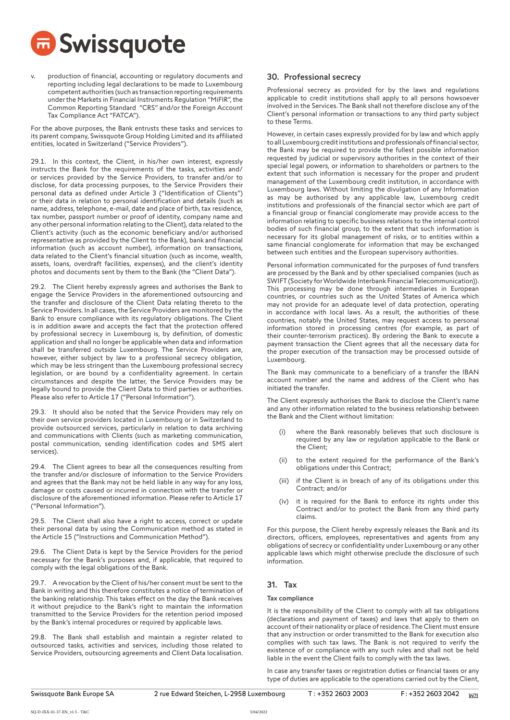

production of financial, accounting or regulatory documents and reporting including legal declarations to be made to Luxembourg competent authorities (such as transaction reporting requirements under the Markets in Financial Instruments Regulation "MiFIR", the Common Reporting Standard "CRS" and/or the Foreign Account Tax Compliance Act "FATCA").

For the above purposes, the Bank entrusts these tasks and services to its parent company, Swissquote Group Holding Limited and its affiliated entities, located in Switzerland ("Service Providers").

29.1. In this context, the Client, in his/her own interest, expressly instructs the Bank for the requirements of the tasks, activities and/ or services provided by the Service Providers, to transfer and/or to disclose, for data processing purposes, to the Service Providers their personal data as defined under Article 3 ("Identification of Clients") or their data in relation to personal identification and details (such as name, address, telephone, e-mail, date and place of birth, tax residence, tax number, passport number or proof of identity, company name and any other personal information relating to the Client), data related to the Client's activity (such as the economic beneficiary and/or authorised representative as provided by the Client to the Bank), bank and financial information (such as account number), information on transactions, data related to the Client's financial situation (such as income, wealth, assets, loans, overdraft facilities, expenses), and the client's identity photos and documents sent by them to the Bank (the "Client Data").

29.2. The Client hereby expressly agrees and authorises the Bank to engage the Service Providers in the aforementioned outsourcing and the transfer and disclosure of the Client Data relating thereto to the Service Providers. In all cases, the Service Providers are monitored by the Bank to ensure compliance with its regulatory obligations. The Client is in addition aware and accepts the fact that the protection offered by professional secrecy in Luxembourg is, by definition, of domestic application and shall no longer be applicable when data and information shall be transferred outside Luxembourg. The Service Providers are, however, either subject by law to a professional secrecy obligation, which may be less stringent than the Luxembourg professional secrecy legislation, or are bound by a confidentiality agreement. In certain circumstances and despite the latter, the Service Providers may be legally bound to provide the Client Data to third parties or authorities. Please also refer to Article 17 ("Personal Information").

29.3. It should also be noted that the Service Providers may rely on their own service providers located in Luxembourg or in Switzerland to provide outsourced services, particularly in relation to data archiving and communications with Clients (such as marketing communication, postal communication, sending identification codes and SMS alert services).

29.4. The Client agrees to bear all the consequences resulting from the transfer and/or disclosure of information to the Service Providers and agrees that the Bank may not be held liable in any way for any loss, damage or costs caused or incurred in connection with the transfer or disclosure of the aforementioned information. Please refer to Article 17 ("Personal Information").

29.5. The Client shall also have a right to access, correct or update their personal data by using the Communication method as stated in the Article 15 ("Instructions and Communication Method").

29.6. The Client Data is kept by the Service Providers for the period necessary for the Bank's purposes and, if applicable, that required to comply with the legal obligations of the Bank.

29.7. A revocation by the Client of his/her consent must be sent to the Bank in writing and this therefore constitutes a notice of termination of the banking relationship. This takes effect on the day the Bank receives it without prejudice to the Bank's right to maintain the information transmitted to the Service Providers for the retention period imposed by the Bank's internal procedures or required by applicable laws.

29.8. The Bank shall establish and maintain a register related to outsourced tasks, activities and services, including those related to Service Providers, outsourcing agreements and Client Data localisation.

## 30. Professional secrecy

Professional secrecy as provided for by the laws and regulations applicable to credit institutions shall apply to all persons howsoever involved in the Services. The Bank shall not therefore disclose any of the Client's personal information or transactions to any third party subject to these Terms.

However, in certain cases expressly provided for by law and which apply to all Luxembourg credit institutions and professionals of financial sector, the Bank may be required to provide the fullest possible information requested by judicial or supervisory authorities in the context of their special legal powers, or information to shareholders or partners to the extent that such information is necessary for the proper and prudent management of the Luxembourg credit institution, in accordance with Luxembourg laws. Without limiting the divulgation of any Information as may be authorised by any applicable law, Luxembourg credit institutions and professionals of the financial sector which are part of a financial group or financial conglomerate may provide access to the information relating to specific business relations to the internal control bodies of such financial group, to the extent that such information is necessary for its global management of risks, or to entities within a same financial conglomerate for information that may be exchanged between such entities and the European supervisory authorities.

Personal information communicated for the purposes of fund transfers are processed by the Bank and by other specialised companies (such as SWIFT (Society for Worldwide Interbank Financial Telecommunication)). This processing may be done through intermediaries in European countries, or countries such as the United States of America which may not provide for an adequate level of data protection, operating in accordance with local laws. As a result, the authorities of these countries, notably the United States, may request access to personal information stored in processing centres (for example, as part of their counter-terrorism practices). By ordering the Bank to execute a payment transaction the Client agrees that all the necessary data for the proper execution of the transaction may be processed outside of Luxembourg.

The Bank may communicate to a beneficiary of a transfer the IBAN account number and the name and address of the Client who has initiated the transfer.

The Client expressly authorises the Bank to disclose the Client's name and any other information related to the business relationship between the Bank and the Client without limitation:

- where the Bank reasonably believes that such disclosure is required by any law or regulation applicable to the Bank or the Client;
- (ii) to the extent required for the performance of the Bank's obligations under this Contract;
- (iii) if the Client is in breach of any of its obligations under this Contract; and/or
- (iv) it is required for the Bank to enforce its rights under this Contract and/or to protect the Bank from any third party claims.

For this purpose, the Client hereby expressly releases the Bank and its directors, officers, employees, representatives and agents from any obligations of secrecy or confidentiality under Luxembourg or any other applicable laws which might otherwise preclude the disclosure of such information.

# 31. Tax

## Tax compliance

It is the responsibility of the Client to comply with all tax obligations (declarations and payment of taxes) and laws that apply to them on account of their nationality or place of residence. The Client must ensure that any instruction or order transmitted to the Bank for execution also complies with such tax laws. The Bank is not required to verify the existence of or compliance with any such rules and shall not be held liable in the event the Client fails to comply with the tax laws.

In case any transfer taxes or registration duties or financial taxes or any type of duties are applicable to the operations carried out by the Client,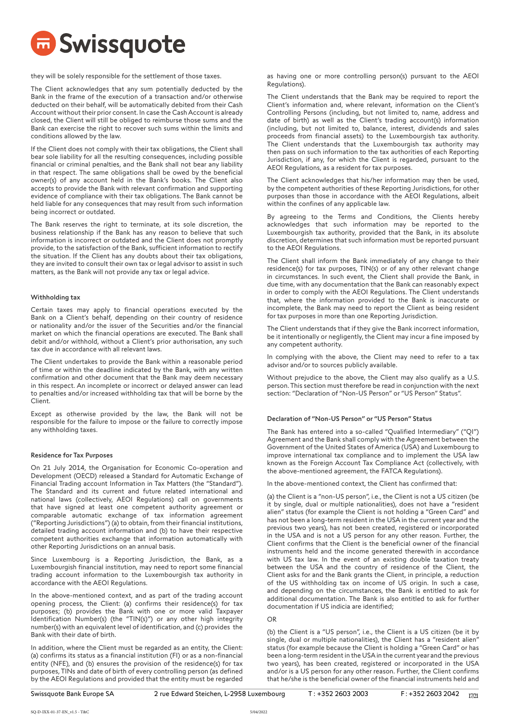

they will be solely responsible for the settlement of those taxes.

The Client acknowledges that any sum potentially deducted by the Bank in the frame of the execution of a transaction and/or otherwise deducted on their behalf, will be automatically debited from their Cash Account without their prior consent. In case the Cash Account is already closed, the Client will still be obliged to reimburse those sums and the Bank can exercise the right to recover such sums within the limits and conditions allowed by the law.

If the Client does not comply with their tax obligations, the Client shall bear sole liability for all the resulting consequences, including possible financial or criminal penalties, and the Bank shall not bear any liability in that respect. The same obligations shall be owed by the beneficial owner(s) of any account held in the Bank's books. The Client also accepts to provide the Bank with relevant confirmation and supporting evidence of compliance with their tax obligations. The Bank cannot be held liable for any consequences that may result from such information being incorrect or outdated.

The Bank reserves the right to terminate, at its sole discretion, the business relationship if the Bank has any reason to believe that such information is incorrect or outdated and the Client does not promptly provide, to the satisfaction of the Bank, sufficient information to rectify the situation. If the Client has any doubts about their tax obligations, they are invited to consult their own tax or legal advisor to assist in such matters, as the Bank will not provide any tax or legal advice.

#### Withholding tax

Certain taxes may apply to financial operations executed by the Bank on a Client's behalf, depending on their country of residence or nationality and/or the issuer of the Securities and/or the financial market on which the financial operations are executed. The Bank shall debit and/or withhold, without a Client's prior authorisation, any such tax due in accordance with all relevant laws.

The Client undertakes to provide the Bank within a reasonable period of time or within the deadline indicated by the Bank, with any written confirmation and other document that the Bank may deem necessary in this respect. An incomplete or incorrect or delayed answer can lead to penalties and/or increased withholding tax that will be borne by the Client.

Except as otherwise provided by the law, the Bank will not be responsible for the failure to impose or the failure to correctly impose any withholding taxes.

## Residence for Tax Purposes

On 21 July 2014, the Organisation for Economic Co-operation and Development (OECD) released a Standard for Automatic Exchange of Financial Trading account Information in Tax Matters (the "Standard"). The Standard and its current and future related international and national laws (collectively, AEOI Regulations) call on governments that have signed at least one competent authority agreement or comparable automatic exchange of tax information agreement ("Reporting Jurisdictions") (a) to obtain, from their financial institutions, detailed trading account information and (b) to have their respective competent authorities exchange that information automatically with other Reporting Jurisdictions on an annual basis.

Since Luxembourg is a Reporting Jurisdiction, the Bank, as a Luxembourgish financial institution, may need to report some financial trading account information to the Luxembourgish tax authority in accordance with the AEOI Regulations.

In the above-mentioned context, and as part of the trading account opening process, the Client: (a) confirms their residence(s) for tax purposes; (b) provides the Bank with one or more valid Taxpayer Identification Number(s) (the "TIN(s)") or any other high integrity number(s) with an equivalent level of identification, and (c) provides the Bank with their date of birth.

In addition, where the Client must be regarded as an entity, the Client: (a) confirms its status as a financial institution (FI) or as a non-financial entity (NFE), and (b) ensures the provision of the residence(s) for tax purposes, TINs and date of birth of every controlling person (as defined by the AEOI Regulations and provided that the entity must be regarded

as having one or more controlling person(s) pursuant to the AEOI Regulations).

The Client understands that the Bank may be required to report the Client's information and, where relevant, information on the Client's Controlling Persons (including, but not limited to, name, address and date of birth) as well as the Client's trading account(s) information (including, but not limited to, balance, interest, dividends and sales proceeds from financial assets) to the Luxembourgish tax authority. The Client understands that the Luxembourgish tax authority may then pass on such information to the tax authorities of each Reporting Jurisdiction, if any, for which the Client is regarded, pursuant to the AEOI Regulations, as a resident for tax purposes.

The Client acknowledges that his/her information may then be used, by the competent authorities of these Reporting Jurisdictions, for other purposes than those in accordance with the AEOI Regulations, albeit within the confines of any applicable law.

By agreeing to the Terms and Conditions, the Clients hereby acknowledges that such information may be reported to the Luxembourgish tax authority, provided that the Bank, in its absolute discretion, determines that such information must be reported pursuant to the AEOI Regulations.

The Client shall inform the Bank immediately of any change to their residence(s) for tax purposes, TIN(s) or of any other relevant change in circumstances. In such event, the Client shall provide the Bank, in due time, with any documentation that the Bank can reasonably expect in order to comply with the AEOI Regulations. The Client understands that, where the information provided to the Bank is inaccurate or incomplete, the Bank may need to report the Client as being resident for tax purposes in more than one Reporting Jurisdiction.

The Client understands that if they give the Bank incorrect information, be it intentionally or negligently, the Client may incur a fine imposed by any competent authority.

In complying with the above, the Client may need to refer to a tax advisor and/or to sources publicly available.

Without prejudice to the above, the Client may also qualify as a U.S. person. This section must therefore be read in conjunction with the next section: "Declaration of "Non-US Person" or "US Person" Status".

## Declaration of "Non-US Person" or "US Person" Status

The Bank has entered into a so-called "Qualified Intermediary" ("QI") Agreement and the Bank shall comply with the Agreement between the Government of the United States of America (USA) and Luxembourg to improve international tax compliance and to implement the USA law known as the Foreign Account Tax Compliance Act (collectively, with the above-mentioned agreement, the FATCA Regulations).

In the above-mentioned context, the Client has confirmed that:

(a) the Client is a "non-US person", i.e., the Client is not a US citizen (be it by single, dual or multiple nationalities), does not have a "resident alien" status (for example the Client is not holding a "Green Card" and has not been a long-term resident in the USA in the current year and the previous two years), has not been created, registered or incorporated in the USA and is not a US person for any other reason. Further, the Client confirms that the Client is the beneficial owner of the financial instruments held and the income generated therewith in accordance with US tax law. In the event of an existing double taxation treaty between the USA and the country of residence of the Client, the Client asks for and the Bank grants the Client, in principle, a reduction of the US withholding tax on income of US origin. In such a case, and depending on the circumstances, the Bank is entitled to ask for additional documentation. The Bank is also entitled to ask for further documentation if US indicia are identified;

#### OR

(b) the Client is a "US person", i.e., the Client is a US citizen (be it by single, dual or multiple nationalities), the Client has a "resident alien" status (for example because the Client is holding a "Green Card" or has been a long-term resident in the USA in the current year and the previous two years), has been created, registered or incorporated in the USA and/or is a US person for any other reason. Further, the Client confirms that he/she is the beneficial owner of the financial instruments held and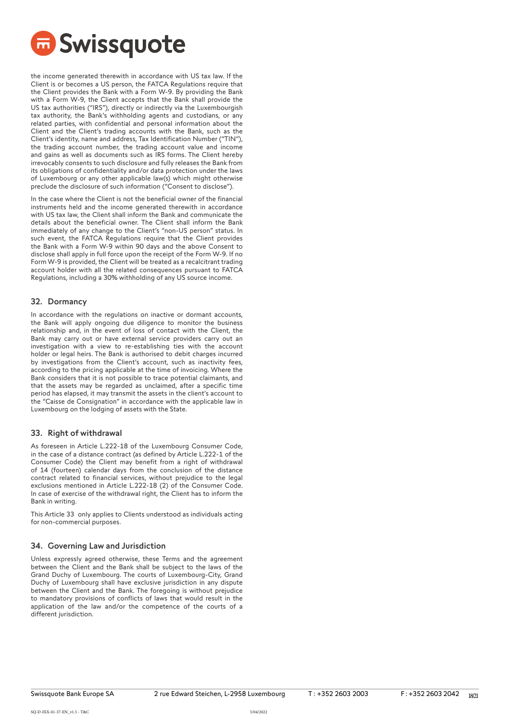

the income generated therewith in accordance with US tax law. If the Client is or becomes a US person, the FATCA Regulations require that the Client provides the Bank with a Form W-9. By providing the Bank with a Form W-9, the Client accepts that the Bank shall provide the US tax authorities ("IRS"), directly or indirectly via the Luxembourgish tax authority, the Bank's withholding agents and custodians, or any related parties, with confidential and personal information about the Client and the Client's trading accounts with the Bank, such as the Client's identity, name and address, Tax Identification Number ("TIN"), the trading account number, the trading account value and income and gains as well as documents such as IRS forms. The Client hereby irrevocably consents to such disclosure and fully releases the Bank from its obligations of confidentiality and/or data protection under the laws of Luxembourg or any other applicable law(s) which might otherwise preclude the disclosure of such information ("Consent to disclose").

In the case where the Client is not the beneficial owner of the financial instruments held and the income generated therewith in accordance with US tax law, the Client shall inform the Bank and communicate the details about the beneficial owner. The Client shall inform the Bank immediately of any change to the Client's "non-US person" status. In such event, the FATCA Regulations require that the Client provides the Bank with a Form W-9 within 90 days and the above Consent to disclose shall apply in full force upon the receipt of the Form W-9. If no Form W-9 is provided, the Client will be treated as a recalcitrant trading account holder with all the related consequences pursuant to FATCA Regulations, including a 30% withholding of any US source income.

## 32. Dormancy

In accordance with the regulations on inactive or dormant accounts, the Bank will apply ongoing due diligence to monitor the business relationship and, in the event of loss of contact with the Client, the Bank may carry out or have external service providers carry out an investigation with a view to re-establishing ties with the account holder or legal heirs. The Bank is authorised to debit charges incurred by investigations from the Client's account, such as inactivity fees, according to the pricing applicable at the time of invoicing. Where the Bank considers that it is not possible to trace potential claimants, and that the assets may be regarded as unclaimed, after a specific time period has elapsed, it may transmit the assets in the client's account to the "Caisse de Consignation" in accordance with the applicable law in Luxembourg on the lodging of assets with the State.

# 33. Right of withdrawal

As foreseen in Article L.222-18 of the Luxembourg Consumer Code, in the case of a distance contract (as defined by Article L.222-1 of the Consumer Code) the Client may benefit from a right of withdrawal of 14 (fourteen) calendar days from the conclusion of the distance contract related to financial services, without prejudice to the legal exclusions mentioned in Article L.222-18 (2) of the Consumer Code. In case of exercise of the withdrawal right, the Client has to inform the Bank in writing.

This Article 33 only applies to Clients understood as individuals acting for non-commercial purposes.

# 34. Governing Law and Jurisdiction

Unless expressly agreed otherwise, these Terms and the agreement between the Client and the Bank shall be subject to the laws of the Grand Duchy of Luxembourg. The courts of Luxembourg-City, Grand Duchy of Luxembourg shall have exclusive jurisdiction in any dispute between the Client and the Bank. The foregoing is without prejudice to mandatory provisions of conflicts of laws that would result in the application of the law and/or the competence of the courts of a different jurisdiction.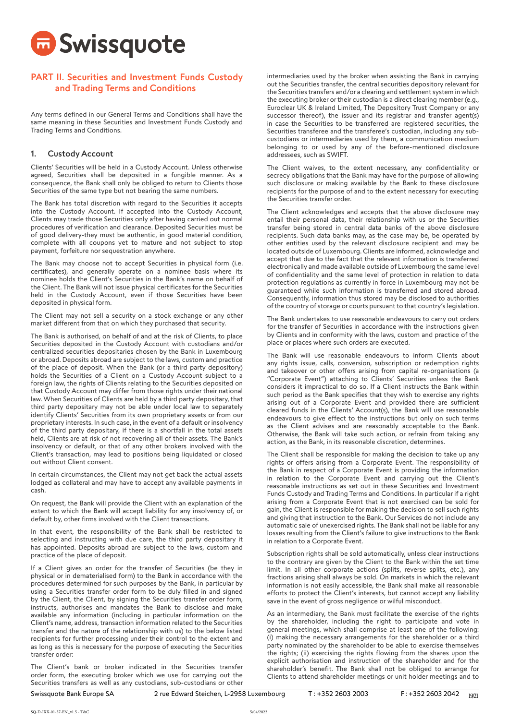

# PART II. Securities and Investment Funds Custody and Trading Terms and Conditions

Any terms defined in our General Terms and Conditions shall have the same meaning in these Securities and Investment Funds Custody and Trading Terms and Conditions.

## 1. Custody Account

Clients' Securities will be held in a Custody Account. Unless otherwise agreed, Securities shall be deposited in a fungible manner. As a consequence, the Bank shall only be obliged to return to Clients those Securities of the same type but not bearing the same numbers.

The Bank has total discretion with regard to the Securities it accepts into the Custody Account. If accepted into the Custody Account, Clients may trade those Securities only after having carried out normal procedures of verification and clearance. Deposited Securities must be of good delivery-they must be authentic, in good material condition, complete with all coupons yet to mature and not subject to stop payment, forfeiture nor sequestration anywhere.

The Bank may choose not to accept Securities in physical form (i.e. certificates), and generally operate on a nominee basis where its nominee holds the Client's Securities in the Bank's name on behalf of the Client. The Bank will not issue physical certificates for the Securities held in the Custody Account, even if those Securities have been deposited in physical form.

The Client may not sell a security on a stock exchange or any other market different from that on which they purchased that security.

The Bank is authorised, on behalf of and at the risk of Clients, to place Securities deposited in the Custody Account with custodians and/or centralized securities depositaries chosen by the Bank in Luxembourg or abroad. Deposits abroad are subject to the laws, custom and practice of the place of deposit. When the Bank (or a third party depository) holds the Securities of a Client on a Custody Account subject to a foreign law, the rights of Clients relating to the Securities deposited on that Custody Account may differ from those rights under their national law. When Securities of Clients are held by a third party depositary, that third party depositary may not be able under local law to separately identify Clients' Securities from its own proprietary assets or from our proprietary interests. In such case, in the event of a default or insolvency of the third party depositary, if there is a shortfall in the total assets held, Clients are at risk of not recovering all of their assets. The Bank's insolvency or default, or that of any other brokers involved with the Client's transaction, may lead to positions being liquidated or closed out without Client consent.

In certain circumstances, the Client may not get back the actual assets lodged as collateral and may have to accept any available payments in cash.

On request, the Bank will provide the Client with an explanation of the extent to which the Bank will accept liability for any insolvency of, or default by, other firms involved with the Client transactions.

In that event, the responsibility of the Bank shall be restricted to selecting and instructing with due care, the third party depositary it has appointed. Deposits abroad are subject to the laws, custom and practice of the place of deposit.

If a Client gives an order for the transfer of Securities (be they in physical or in dematerialised form) to the Bank in accordance with the procedures determined for such purposes by the Bank, in particular by using a Securities transfer order form to be duly filled in and signed by the Client, the Client, by signing the Securities transfer order form, instructs, authorises and mandates the Bank to disclose and make available any information (including in particular information on the Client's name, address, transaction information related to the Securities transfer and the nature of the relationship with us) to the below listed recipients for further processing under their control to the extent and as long as this is necessary for the purpose of executing the Securities transfer order:

The Client's bank or broker indicated in the Securities transfer order form, the executing broker which we use for carrying out the Securities transfers as well as any custodians, sub-custodians or other

intermediaries used by the broker when assisting the Bank in carrying out the Securities transfer, the central securities depository relevant for the Securities transfers and/or a clearing and settlement system in which the executing broker or their custodian is a direct clearing member (e.g., Euroclear UK & Ireland Limited, The Depository Trust Company or any successor thereof), the issuer and its registrar and transfer agent(s) in case the Securities to be transferred are registered securities, the Securities transferee and the transferee's custodian, including any subcustodians or intermediaries used by them, a communication medium belonging to or used by any of the before-mentioned disclosure addressees, such as SWIFT.

The Client waives, to the extent necessary, any confidentiality or secrecy obligations that the Bank may have for the purpose of allowing such disclosure or making available by the Bank to these disclosure recipients for the purpose of and to the extent necessary for executing the Securities transfer order.

The Client acknowledges and accepts that the above disclosure may entail their personal data, their relationship with us or the Securities transfer being stored in central data banks of the above disclosure recipients. Such data banks may, as the case may be, be operated by other entities used by the relevant disclosure recipient and may be located outside of Luxembourg. Clients are informed, acknowledge and accept that due to the fact that the relevant information is transferred electronically and made available outside of Luxembourg the same level of confidentiality and the same level of protection in relation to data protection regulations as currently in force in Luxembourg may not be guaranteed while such information is transferred and stored abroad. Consequently, information thus stored may be disclosed to authorities of the country of storage or courts pursuant to that country's legislation.

The Bank undertakes to use reasonable endeavours to carry out orders for the transfer of Securities in accordance with the instructions given by Clients and in conformity with the laws, custom and practice of the place or places where such orders are executed.

The Bank will use reasonable endeavours to inform Clients about any rights issue, calls, conversion, subscription or redemption rights and takeover or other offers arising from capital re-organisations (a "Corporate Event") attaching to Clients' Securities unless the Bank considers it impractical to do so. If a Client instructs the Bank within such period as the Bank specifies that they wish to exercise any rights arising out of a Corporate Event and provided there are sufficient cleared funds in the Clients' Account(s), the Bank will use reasonable endeavours to give effect to the instructions but only on such terms as the Client advises and are reasonably acceptable to the Bank. Otherwise, the Bank will take such action, or refrain from taking any action, as the Bank, in its reasonable discretion, determines.

The Client shall be responsible for making the decision to take up any rights or offers arising from a Corporate Event. The responsibility of the Bank in respect of a Corporate Event is providing the information in relation to the Corporate Event and carrying out the Client's reasonable instructions as set out in these Securities and Investment Funds Custody and Trading Terms and Conditions. In particular if a right arising from a Corporate Event that is not exercised can be sold for gain, the Client is responsible for making the decision to sell such rights and giving that instruction to the Bank. Our Services do not include any automatic sale of unexercised rights. The Bank shall not be liable for any losses resulting from the Client's failure to give instructions to the Bank in relation to a Corporate Event.

Subscription rights shall be sold automatically, unless clear instructions to the contrary are given by the Client to the Bank within the set time limit. In all other corporate actions (splits, reverse splits, etc.), any fractions arising shall always be sold. On markets in which the relevant information is not easily accessible, the Bank shall make all reasonable efforts to protect the Client's interests, but cannot accept any liability save in the event of gross negligence or wilful misconduct.

As an intermediary, the Bank must facilitate the exercise of the rights by the shareholder, including the right to participate and vote in general meetings, which shall comprise at least one of the following: (i) making the necessary arrangements for the shareholder or a third party nominated by the shareholder to be able to exercise themselves the rights; (ii) exercising the rights flowing from the shares upon the explicit authorisation and instruction of the shareholder and for the shareholder's benefit. The Bank shall not be obliged to arrange for Clients to attend shareholder meetings or unit holder meetings and to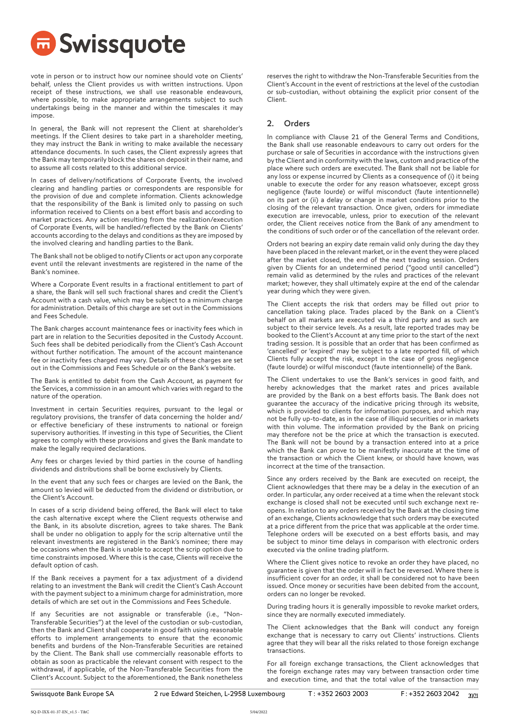

vote in person or to instruct how our nominee should vote on Clients' behalf, unless the Client provides us with written instructions. Upon receipt of these instructions, we shall use reasonable endeavours, where possible, to make appropriate arrangements subject to such undertakings being in the manner and within the timescales it may impose.

In general, the Bank will not represent the Client at shareholder's meetings. If the Client desires to take part in a shareholder meeting, they may instruct the Bank in writing to make available the necessary attendance documents. In such cases, the Client expressly agrees that the Bank may temporarily block the shares on deposit in their name, and to assume all costs related to this additional service.

In cases of delivery/notifications of Corporate Events, the involved clearing and handling parties or correspondents are responsible for the provision of due and complete information. Clients acknowledge that the responsibility of the Bank is limited only to passing on such information received to Clients on a best effort basis and according to market practices. Any action resulting from the realization/execution of Corporate Events, will be handled/reflected by the Bank on Clients' accounts according to the delays and conditions as they are imposed by the involved clearing and handling parties to the Bank.

The Bank shall not be obliged to notify Clients or act upon any corporate event until the relevant investments are registered in the name of the Bank's nominee.

Where a Corporate Event results in a fractional entitlement to part of a share, the Bank will sell such fractional shares and credit the Client's Account with a cash value, which may be subject to a minimum charge for administration. Details of this charge are set out in the Commissions and Fees Schedule.

The Bank charges account maintenance fees or inactivity fees which in part are in relation to the Securities deposited in the Custody Account. Such fees shall be debited periodically from the Client's Cash Account without further notification. The amount of the account maintenance fee or inactivity fees charged may vary. Details of these charges are set out in the Commissions and Fees Schedule or on the Bank's website.

The Bank is entitled to debit from the Cash Account, as payment for the Services, a commission in an amount which varies with regard to the nature of the operation.

Investment in certain Securities requires, pursuant to the legal or regulatory provisions, the transfer of data concerning the holder and/ or effective beneficiary of these instruments to national or foreign supervisory authorities. If investing in this type of Securities, the Client agrees to comply with these provisions and gives the Bank mandate to make the legally required declarations.

Any fees or charges levied by third parties in the course of handling dividends and distributions shall be borne exclusively by Clients.

In the event that any such fees or charges are levied on the Bank, the amount so levied will be deducted from the dividend or distribution, or the Client's Account.

In cases of a scrip dividend being offered, the Bank will elect to take the cash alternative except where the Client requests otherwise and the Bank, in its absolute discretion, agrees to take shares. The Bank shall be under no obligation to apply for the scrip alternative until the relevant investments are registered in the Bank's nominee; there may be occasions when the Bank is unable to accept the scrip option due to time constraints imposed. Where this is the case, Clients will receive the default option of cash.

If the Bank receives a payment for a tax adjustment of a dividend relating to an investment the Bank will credit the Client's Cash Account with the payment subject to a minimum charge for administration, more details of which are set out in the Commissions and Fees Schedule.

If any Securities are not assignable or transferable (i.e., "Non-Transferable Securities") at the level of the custodian or sub-custodian, then the Bank and Client shall cooperate in good faith using reasonable efforts to implement arrangements to ensure that the economic benefits and burdens of the Non-Transferable Securities are retained by the Client. The Bank shall use commercially reasonable efforts to obtain as soon as practicable the relevant consent with respect to the withdrawal, if applicable, of the Non-Transferable Securities from the Client's Account. Subject to the aforementioned, the Bank nonetheless

reserves the right to withdraw the Non-Transferable Securities from the Client's Account in the event of restrictions at the level of the custodian or sub-custodian, without obtaining the explicit prior consent of the Client.

# 2. Orders

In compliance with Clause 21 of the General Terms and Conditions, the Bank shall use reasonable endeavours to carry out orders for the purchase or sale of Securities in accordance with the instructions given by the Client and in conformity with the laws, custom and practice of the place where such orders are executed. The Bank shall not be liable for any loss or expense incurred by Clients as a consequence of (i) it being unable to execute the order for any reason whatsoever, except gross negligence (faute lourde) or wilful misconduct (faute intentionnelle) on its part or (ii) a delay or change in market conditions prior to the closing of the relevant transaction. Once given, orders for immediate execution are irrevocable, unless, prior to execution of the relevant order, the Client receives notice from the Bank of any amendment to the conditions of such order or of the cancellation of the relevant order.

Orders not bearing an expiry date remain valid only during the day they have been placed in the relevant market, or in the event they were placed after the market closed, the end of the next trading session. Orders given by Clients for an undetermined period ("good until cancelled") remain valid as determined by the rules and practices of the relevant market; however, they shall ultimately expire at the end of the calendar year during which they were given.

The Client accepts the risk that orders may be filled out prior to cancellation taking place. Trades placed by the Bank on a Client's behalf on all markets are executed via a third party and as such are subject to their service levels. As a result, late reported trades may be booked to the Client's Account at any time prior to the start of the next trading session. It is possible that an order that has been confirmed as 'cancelled' or 'expired' may be subject to a late reported fill, of which Clients fully accept the risk, except in the case of gross negligence (faute lourde) or wilful misconduct (faute intentionnelle) of the Bank.

The Client undertakes to use the Bank's services in good faith, and hereby acknowledges that the market rates and prices available are provided by the Bank on a best efforts basis. The Bank does not guarantee the accuracy of the indicative pricing through its website, which is provided to clients for information purposes, and which may not be fully up-to-date, as in the case of illiquid securities or in markets with thin volume. The information provided by the Bank on pricing may therefore not be the price at which the transaction is executed. The Bank will not be bound by a transaction entered into at a price which the Bank can prove to be manifestly inaccurate at the time of the transaction or which the Client knew, or should have known, was incorrect at the time of the transaction.

Since any orders received by the Bank are executed on receipt, the Client acknowledges that there may be a delay in the execution of an order. In particular, any order received at a time when the relevant stock exchange is closed shall not be executed until such exchange next reopens. In relation to any orders received by the Bank at the closing time of an exchange, Clients acknowledge that such orders may be executed at a price different from the price that was applicable at the order time. Telephone orders will be executed on a best efforts basis, and may be subject to minor time delays in comparison with electronic orders executed via the online trading platform.

Where the Client gives notice to revoke an order they have placed, no guarantee is given that the order will in fact be reversed. Where there is insufficient cover for an order, it shall be considered not to have been issued. Once money or securities have been debited from the account, orders can no longer be revoked.

During trading hours it is generally impossible to revoke market orders, since they are normally executed immediately.

The Client acknowledges that the Bank will conduct any foreign exchange that is necessary to carry out Clients' instructions. Clients agree that they will bear all the risks related to those foreign exchange transactions.

For all foreign exchange transactions, the Client acknowledges that the foreign exchange rates may vary between transaction order time and execution time, and that the total value of the transaction may